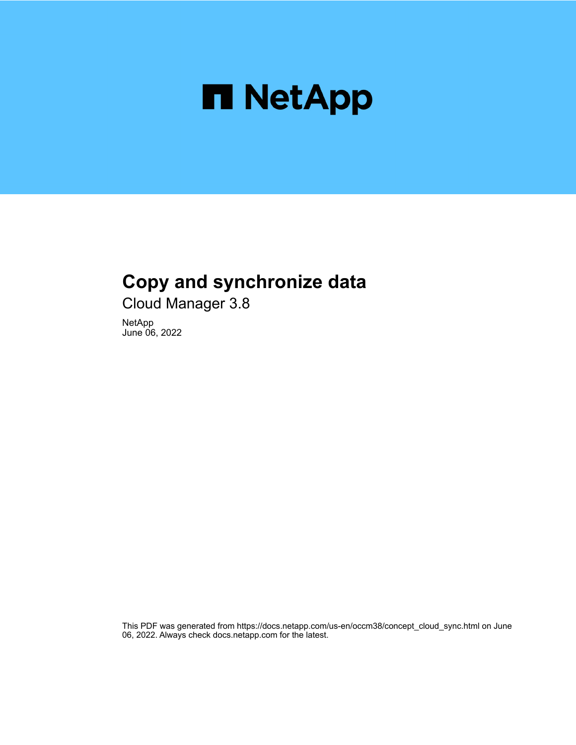

# **Copy and synchronize data**

Cloud Manager 3.8

NetApp June 06, 2022

This PDF was generated from https://docs.netapp.com/us-en/occm38/concept\_cloud\_sync.html on June 06, 2022. Always check docs.netapp.com for the latest.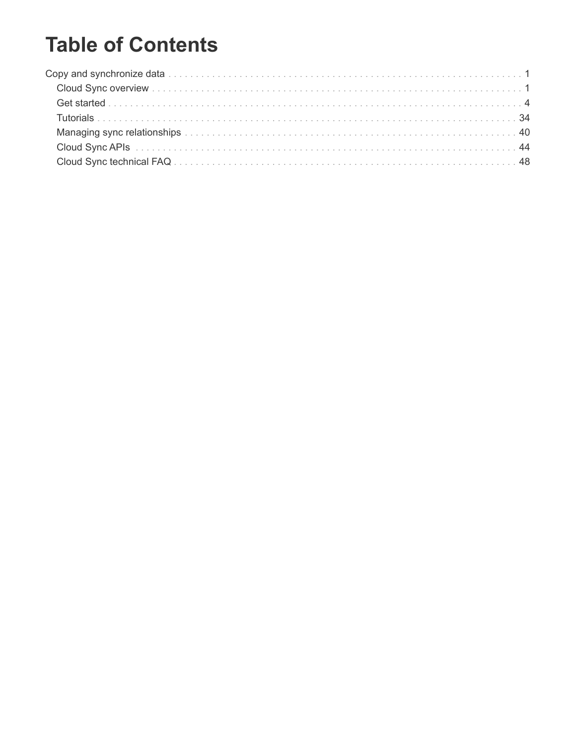# **Table of Contents**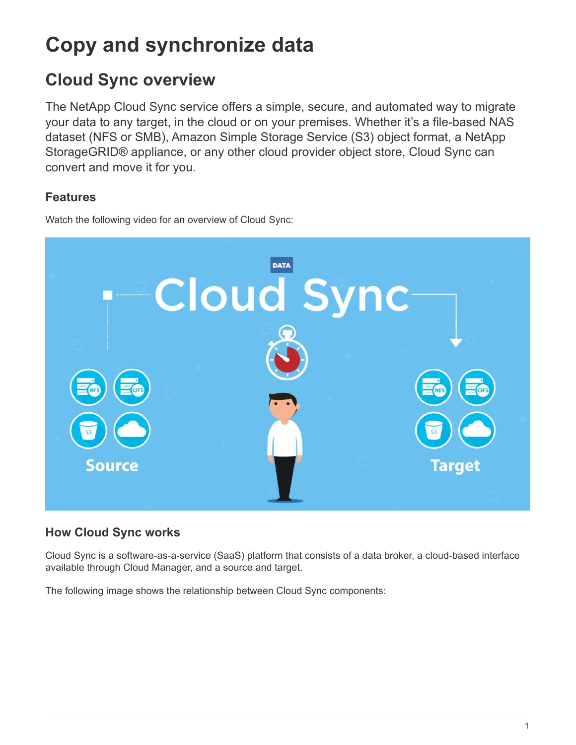# <span id="page-2-0"></span>**Copy and synchronize data**

# <span id="page-2-1"></span>**Cloud Sync overview**

The NetApp Cloud Sync service offers a simple, secure, and automated way to migrate your data to any target, in the cloud or on your premises. Whether it's a file-based NAS dataset (NFS or SMB), Amazon Simple Storage Service (S3) object format, a NetApp StorageGRID® appliance, or any other cloud provider object store, Cloud Sync can convert and move it for you.

# **Features**

Watch the following video for an overview of Cloud Sync:



# **How Cloud Sync works**

Cloud Sync is a software-as-a-service (SaaS) platform that consists of a data broker, a cloud-based interface available through Cloud Manager, and a source and target.

The following image shows the relationship between Cloud Sync components: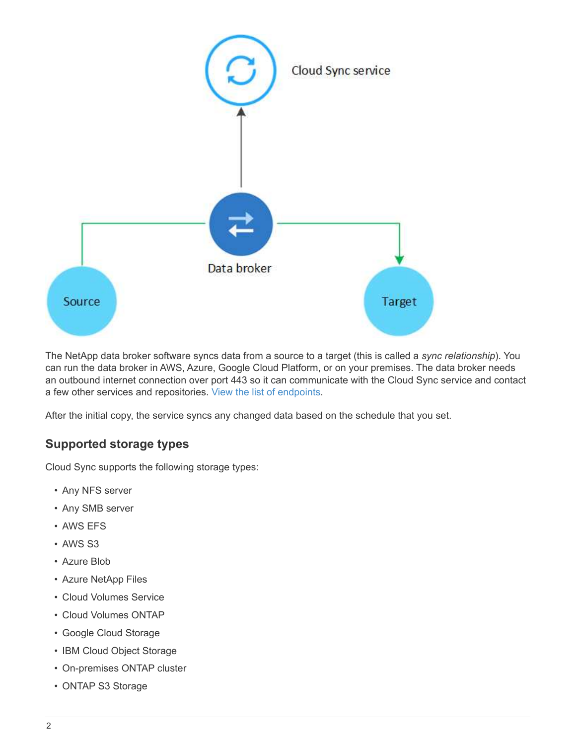

The NetApp data broker software syncs data from a source to a target (this is called a *sync relationship*). You can run the data broker in AWS, Azure, Google Cloud Platform, or on your premises. The data broker needs an outbound internet connection over port 443 so it can communicate with the Cloud Sync service and contact a few other services and repositories. [View the list of endpoints.](#page-17-0)

After the initial copy, the service syncs any changed data based on the schedule that you set.

# **Supported storage types**

Cloud Sync supports the following storage types:

- Any NFS server
- Any SMB server
- AWS EFS
- AWS S3
- Azure Blob
- Azure NetApp Files
- Cloud Volumes Service
- Cloud Volumes ONTAP
- Google Cloud Storage
- IBM Cloud Object Storage
- On-premises ONTAP cluster
- ONTAP S3 Storage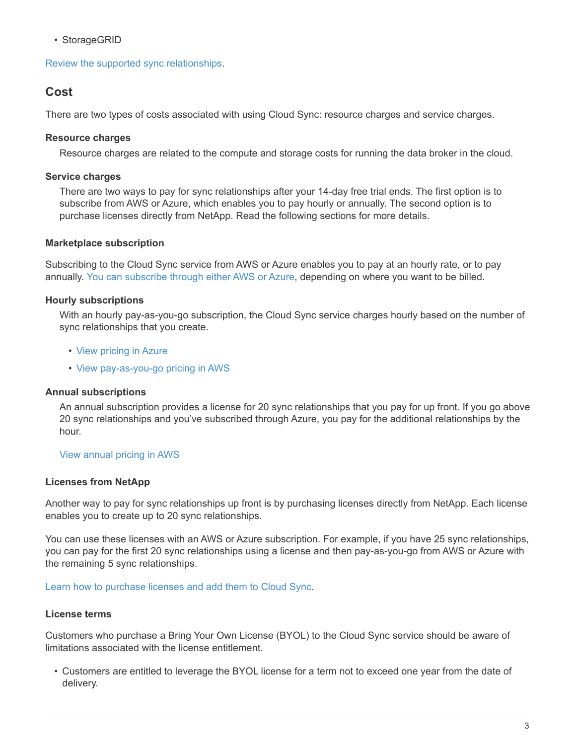• StorageGRID

[Review the supported sync relationships](#page-6-0).

# **Cost**

There are two types of costs associated with using Cloud Sync: resource charges and service charges.

## **Resource charges**

Resource charges are related to the compute and storage costs for running the data broker in the cloud.

## **Service charges**

There are two ways to pay for sync relationships after your 14-day free trial ends. The first option is to subscribe from AWS or Azure, which enables you to pay hourly or annually. The second option is to purchase licenses directly from NetApp. Read the following sections for more details.

# **Marketplace subscription**

Subscribing to the Cloud Sync service from AWS or Azure enables you to pay at an hourly rate, or to pay annually. [You can subscribe through either AWS or Azure](#page-34-0), depending on where you want to be billed.

# **Hourly subscriptions**

With an hourly pay-as-you-go subscription, the Cloud Sync service charges hourly based on the number of sync relationships that you create.

- [View pricing in Azure](https://azuremarketplace.microsoft.com/en-us/marketplace/apps/netapp.cloud-sync-service?tab=PlansAndPrice)
- [View pay-as-you-go pricing in AWS](https://aws.amazon.com/marketplace/pp/B01LZV5DUJ)

## **Annual subscriptions**

An annual subscription provides a license for 20 sync relationships that you pay for up front. If you go above 20 sync relationships and you've subscribed through Azure, you pay for the additional relationships by the hour.

### [View annual pricing in AWS](https://aws.amazon.com/marketplace/pp/B06XX5V3M2)

## **Licenses from NetApp**

Another way to pay for sync relationships up front is by purchasing licenses directly from NetApp. Each license enables you to create up to 20 sync relationships.

You can use these licenses with an AWS or Azure subscription. For example, if you have 25 sync relationships, you can pay for the first 20 sync relationships using a license and then pay-as-you-go from AWS or Azure with the remaining 5 sync relationships.

[Learn how to purchase licenses and add them to Cloud Sync](#page-34-0).

## **License terms**

Customers who purchase a Bring Your Own License (BYOL) to the Cloud Sync service should be aware of limitations associated with the license entitlement.

• Customers are entitled to leverage the BYOL license for a term not to exceed one year from the date of delivery.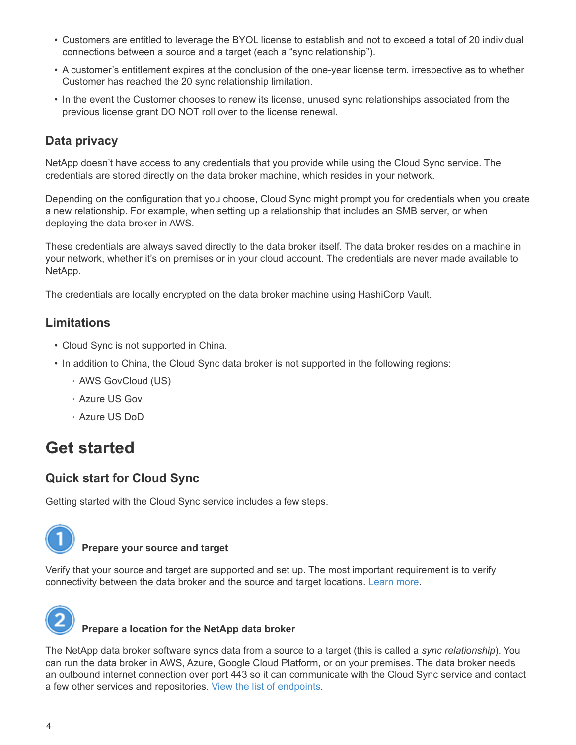- Customers are entitled to leverage the BYOL license to establish and not to exceed a total of 20 individual connections between a source and a target (each a "sync relationship").
- A customer's entitlement expires at the conclusion of the one-year license term, irrespective as to whether Customer has reached the 20 sync relationship limitation.
- In the event the Customer chooses to renew its license, unused sync relationships associated from the previous license grant DO NOT roll over to the license renewal.

# **Data privacy**

NetApp doesn't have access to any credentials that you provide while using the Cloud Sync service. The credentials are stored directly on the data broker machine, which resides in your network.

Depending on the configuration that you choose, Cloud Sync might prompt you for credentials when you create a new relationship. For example, when setting up a relationship that includes an SMB server, or when deploying the data broker in AWS.

These credentials are always saved directly to the data broker itself. The data broker resides on a machine in your network, whether it's on premises or in your cloud account. The credentials are never made available to NetApp.

The credentials are locally encrypted on the data broker machine using HashiCorp Vault.

# **Limitations**

- Cloud Sync is not supported in China.
- In addition to China, the Cloud Sync data broker is not supported in the following regions:
	- AWS GovCloud (US)
	- Azure US Gov
	- Azure US DoD

# <span id="page-5-0"></span>**Get started**

# **Quick start for Cloud Sync**

Getting started with the Cloud Sync service includes a few steps.



# **Prepare your source and target**

Verify that your source and target are supported and set up. The most important requirement is to verify connectivity between the data broker and the source and target locations. [Learn more](#page-6-0).



# **Prepare a location for the NetApp data broker**

The NetApp data broker software syncs data from a source to a target (this is called a *sync relationship*). You can run the data broker in AWS, Azure, Google Cloud Platform, or on your premises. The data broker needs an outbound internet connection over port 443 so it can communicate with the Cloud Sync service and contact a few other services and repositories. [View the list of endpoints.](#page-17-0)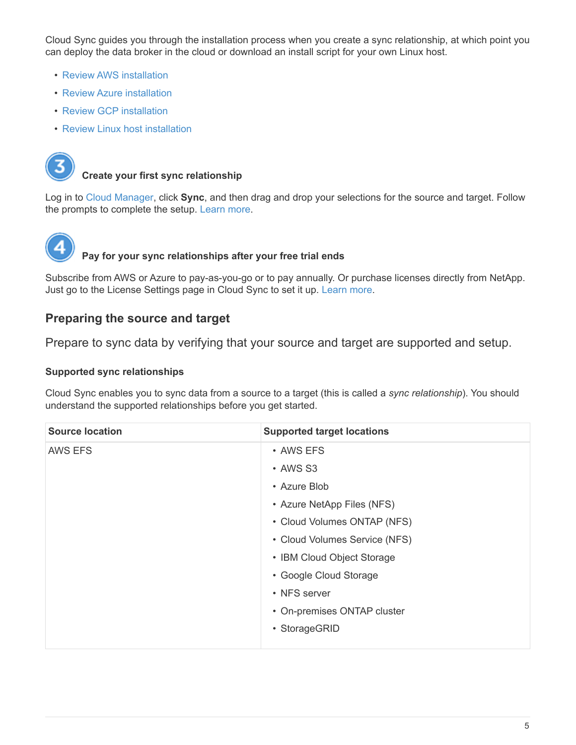Cloud Sync guides you through the installation process when you create a sync relationship, at which point you can deploy the data broker in the cloud or download an install script for your own Linux host.

- [Review AWS installation](#page-20-0)
- [Review Azure installation](#page-23-0)
- [Review GCP installation](#page-25-0)
- [Review Linux host installation](#page-27-0)



# **Create your first sync relationship**

Log in to [Cloud Manager](https://cloudmanager.netapp.com/), click **Sync**, and then drag and drop your selections for the source and target. Follow the prompts to complete the setup. [Learn more](#page-31-0).



# **Pay for your sync relationships after your free trial ends**

Subscribe from AWS or Azure to pay-as-you-go or to pay annually. Or purchase licenses directly from NetApp. Just go to the License Settings page in Cloud Sync to set it up. [Learn more.](#page-34-0)

# <span id="page-6-0"></span>**Preparing the source and target**

Prepare to sync data by verifying that your source and target are supported and setup.

# **Supported sync relationships**

Cloud Sync enables you to sync data from a source to a target (this is called a *sync relationship*). You should understand the supported relationships before you get started.

| <b>Source location</b> | <b>Supported target locations</b> |
|------------------------|-----------------------------------|
| <b>AWS EFS</b>         | • AWS EFS                         |
|                        | • AWS S3                          |
|                        | • Azure Blob                      |
|                        | • Azure NetApp Files (NFS)        |
|                        | • Cloud Volumes ONTAP (NFS)       |
|                        | • Cloud Volumes Service (NFS)     |
|                        | • IBM Cloud Object Storage        |
|                        | • Google Cloud Storage            |
|                        | • NFS server                      |
|                        | • On-premises ONTAP cluster       |
|                        | • StorageGRID                     |
|                        |                                   |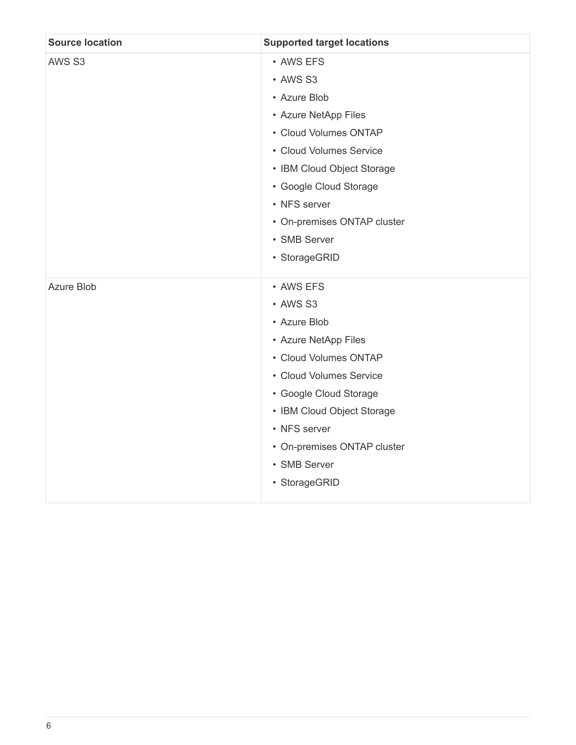| <b>Source location</b> | <b>Supported target locations</b> |
|------------------------|-----------------------------------|
| AWS S3                 | • AWS EFS                         |
|                        | • AWS S3                          |
|                        | • Azure Blob                      |
|                        | • Azure NetApp Files              |
|                        | • Cloud Volumes ONTAP             |
|                        | • Cloud Volumes Service           |
|                        | • IBM Cloud Object Storage        |
|                        | • Google Cloud Storage            |
|                        | • NFS server                      |
|                        | • On-premises ONTAP cluster       |
|                        | • SMB Server                      |
|                        | • StorageGRID                     |
| Azure Blob             | • AWS EFS                         |
|                        | • AWS S3                          |
|                        | • Azure Blob                      |
|                        | • Azure NetApp Files              |
|                        | • Cloud Volumes ONTAP             |
|                        | • Cloud Volumes Service           |
|                        | • Google Cloud Storage            |
|                        | • IBM Cloud Object Storage        |
|                        | • NFS server                      |
|                        | • On-premises ONTAP cluster       |
|                        | • SMB Server                      |
|                        | • StorageGRID                     |
|                        |                                   |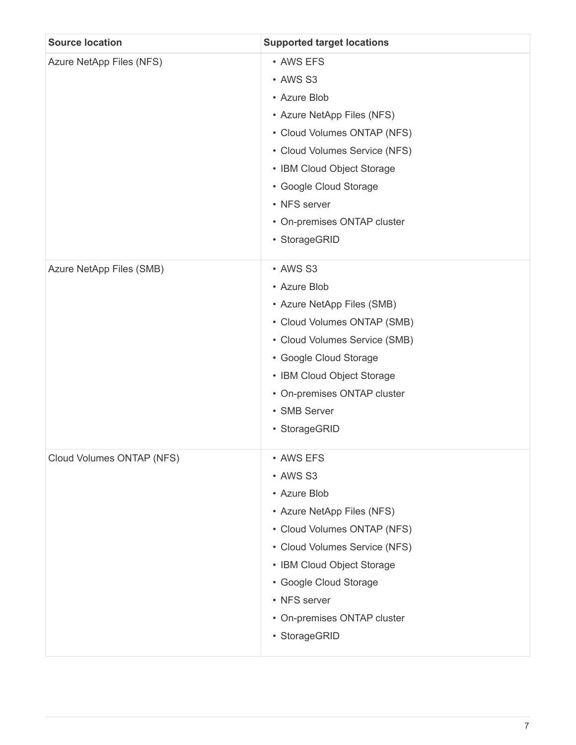| <b>Source location</b>    | <b>Supported target locations</b>                                                                                                                                                                                                                           |
|---------------------------|-------------------------------------------------------------------------------------------------------------------------------------------------------------------------------------------------------------------------------------------------------------|
| Azure NetApp Files (NFS)  | • AWS EFS<br>• AWS S3<br>• Azure Blob<br>• Azure NetApp Files (NFS)<br>• Cloud Volumes ONTAP (NFS)<br>• Cloud Volumes Service (NFS)<br>• IBM Cloud Object Storage<br>• Google Cloud Storage<br>• NFS server<br>• On-premises ONTAP cluster<br>• StorageGRID |
| Azure NetApp Files (SMB)  | • AWS S3<br>• Azure Blob<br>• Azure NetApp Files (SMB)<br>• Cloud Volumes ONTAP (SMB)<br>• Cloud Volumes Service (SMB)<br>• Google Cloud Storage<br>• IBM Cloud Object Storage<br>• On-premises ONTAP cluster<br>• SMB Server<br>• StorageGRID              |
| Cloud Volumes ONTAP (NFS) | • AWS EFS<br>• AWS S3<br>• Azure Blob<br>• Azure NetApp Files (NFS)<br>• Cloud Volumes ONTAP (NFS)<br>• Cloud Volumes Service (NFS)<br>• IBM Cloud Object Storage<br>• Google Cloud Storage<br>• NFS server<br>• On-premises ONTAP cluster<br>• StorageGRID |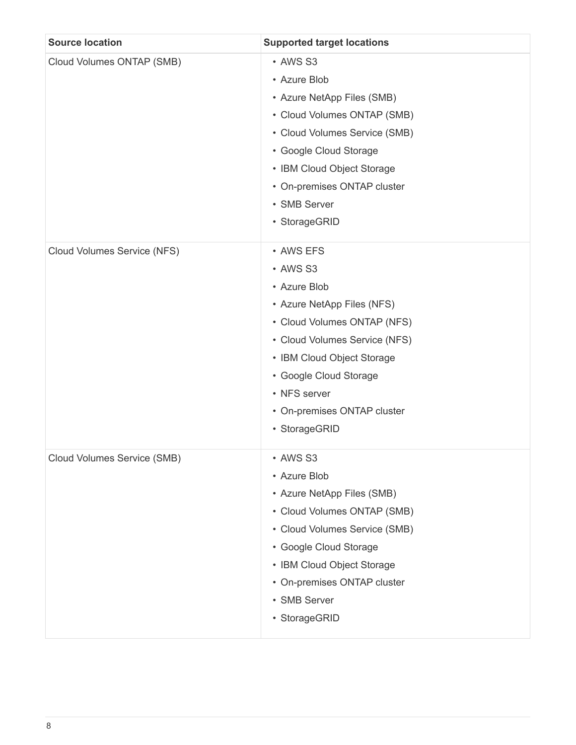| <b>Source location</b>      | <b>Supported target locations</b>                                                                                                                                                                                                                           |
|-----------------------------|-------------------------------------------------------------------------------------------------------------------------------------------------------------------------------------------------------------------------------------------------------------|
| Cloud Volumes ONTAP (SMB)   | • AWS S3<br>• Azure Blob<br>• Azure NetApp Files (SMB)<br>• Cloud Volumes ONTAP (SMB)<br>• Cloud Volumes Service (SMB)<br>• Google Cloud Storage<br>• IBM Cloud Object Storage<br>• On-premises ONTAP cluster<br>• SMB Server<br>• StorageGRID              |
| Cloud Volumes Service (NFS) | • AWS EFS<br>• AWS S3<br>• Azure Blob<br>• Azure NetApp Files (NFS)<br>• Cloud Volumes ONTAP (NFS)<br>• Cloud Volumes Service (NFS)<br>• IBM Cloud Object Storage<br>• Google Cloud Storage<br>• NFS server<br>• On-premises ONTAP cluster<br>• StorageGRID |
| Cloud Volumes Service (SMB) | • AWS S3<br>• Azure Blob<br>• Azure NetApp Files (SMB)<br>• Cloud Volumes ONTAP (SMB)<br>• Cloud Volumes Service (SMB)<br>• Google Cloud Storage<br>• IBM Cloud Object Storage<br>• On-premises ONTAP cluster<br>• SMB Server<br>• StorageGRID              |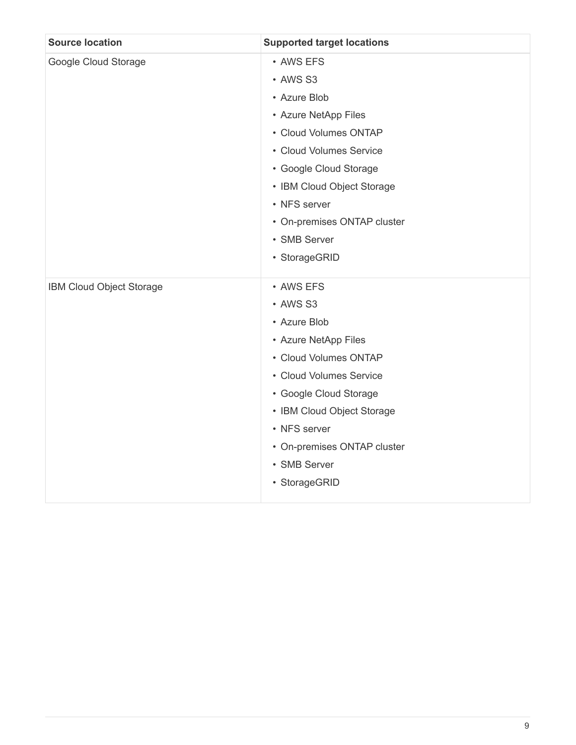| <b>Source location</b>   | <b>Supported target locations</b> |
|--------------------------|-----------------------------------|
| Google Cloud Storage     | • AWS EFS                         |
|                          | • AWS S3                          |
|                          | • Azure Blob                      |
|                          | • Azure NetApp Files              |
|                          | • Cloud Volumes ONTAP             |
|                          | • Cloud Volumes Service           |
|                          | • Google Cloud Storage            |
|                          | • IBM Cloud Object Storage        |
|                          | • NFS server                      |
|                          | • On-premises ONTAP cluster       |
|                          | • SMB Server                      |
|                          | • StorageGRID                     |
| IBM Cloud Object Storage | • AWS EFS                         |
|                          | • AWS S3                          |
|                          | • Azure Blob                      |
|                          | • Azure NetApp Files              |
|                          | • Cloud Volumes ONTAP             |
|                          | • Cloud Volumes Service           |
|                          | • Google Cloud Storage            |
|                          | • IBM Cloud Object Storage        |
|                          | • NFS server                      |
|                          | • On-premises ONTAP cluster       |
|                          | • SMB Server                      |
|                          | • StorageGRID                     |
|                          |                                   |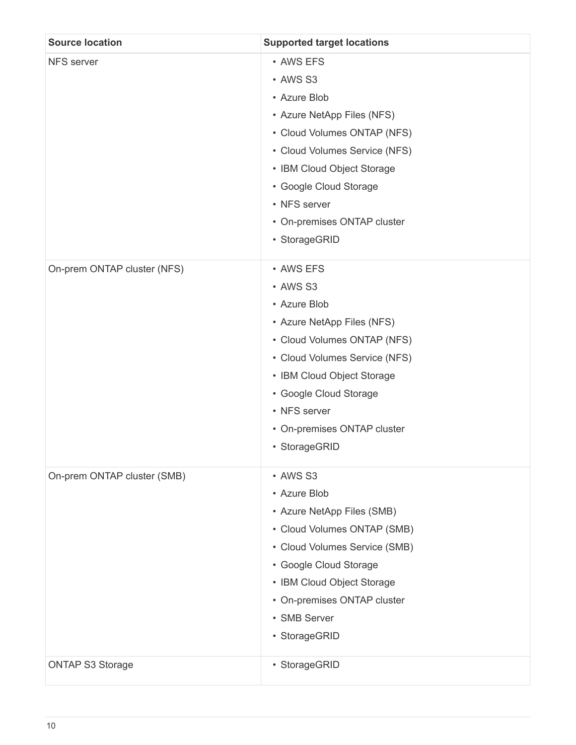| <b>Source location</b>      | <b>Supported target locations</b>                                                                                                                                                                                                                           |
|-----------------------------|-------------------------------------------------------------------------------------------------------------------------------------------------------------------------------------------------------------------------------------------------------------|
| NFS server                  | • AWS EFS<br>• AWS S3<br>• Azure Blob<br>• Azure NetApp Files (NFS)<br>• Cloud Volumes ONTAP (NFS)<br>• Cloud Volumes Service (NFS)<br>• IBM Cloud Object Storage<br>• Google Cloud Storage<br>• NFS server<br>• On-premises ONTAP cluster<br>• StorageGRID |
| On-prem ONTAP cluster (NFS) | • AWS EFS<br>• AWS S3<br>• Azure Blob<br>• Azure NetApp Files (NFS)<br>• Cloud Volumes ONTAP (NFS)<br>• Cloud Volumes Service (NFS)<br>• IBM Cloud Object Storage<br>• Google Cloud Storage<br>• NFS server<br>• On-premises ONTAP cluster<br>• StorageGRID |
| On-prem ONTAP cluster (SMB) | • AWS S3<br>• Azure Blob<br>• Azure NetApp Files (SMB)<br>• Cloud Volumes ONTAP (SMB)<br>• Cloud Volumes Service (SMB)<br>• Google Cloud Storage<br>• IBM Cloud Object Storage<br>• On-premises ONTAP cluster<br>• SMB Server<br>• StorageGRID              |
| <b>ONTAP S3 Storage</b>     | • StorageGRID                                                                                                                                                                                                                                               |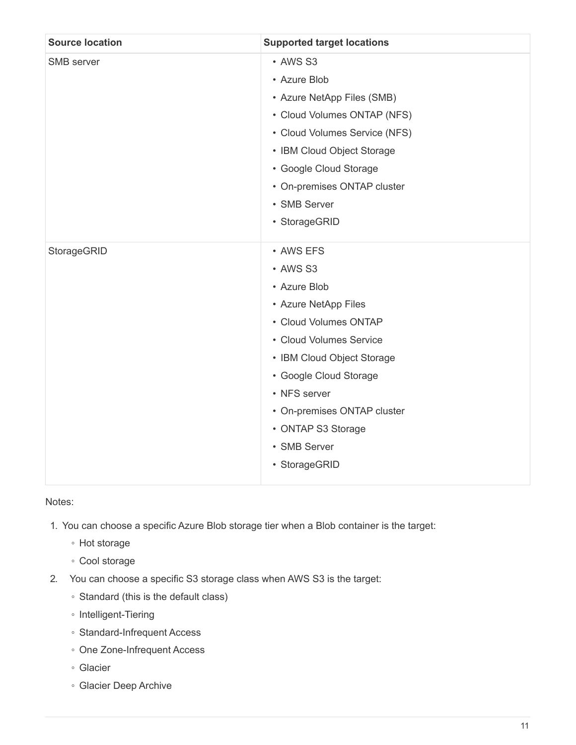| <b>Source location</b> | <b>Supported target locations</b> |
|------------------------|-----------------------------------|
| SMB server             | • AWS S3                          |
|                        | • Azure Blob                      |
|                        | • Azure NetApp Files (SMB)        |
|                        | • Cloud Volumes ONTAP (NFS)       |
|                        | • Cloud Volumes Service (NFS)     |
|                        | • IBM Cloud Object Storage        |
|                        | • Google Cloud Storage            |
|                        | • On-premises ONTAP cluster       |
|                        | • SMB Server                      |
|                        | • StorageGRID                     |
| StorageGRID            | • AWS EFS                         |
|                        | • AWS S3                          |
|                        | • Azure Blob                      |
|                        | • Azure NetApp Files              |
|                        | • Cloud Volumes ONTAP             |
|                        | • Cloud Volumes Service           |
|                        | • IBM Cloud Object Storage        |
|                        | • Google Cloud Storage            |
|                        | • NFS server                      |
|                        | • On-premises ONTAP cluster       |
|                        | • ONTAP S3 Storage                |
|                        | • SMB Server                      |
|                        | • StorageGRID                     |

## Notes:

- 1. You can choose a specific Azure Blob storage tier when a Blob container is the target:
	- Hot storage
	- Cool storage
- 2. You can choose a specific S3 storage class when AWS S3 is the target:
	- Standard (this is the default class)
	- Intelligent-Tiering
	- Standard-Infrequent Access
	- One Zone-Infrequent Access
	- Glacier
	- Glacier Deep Archive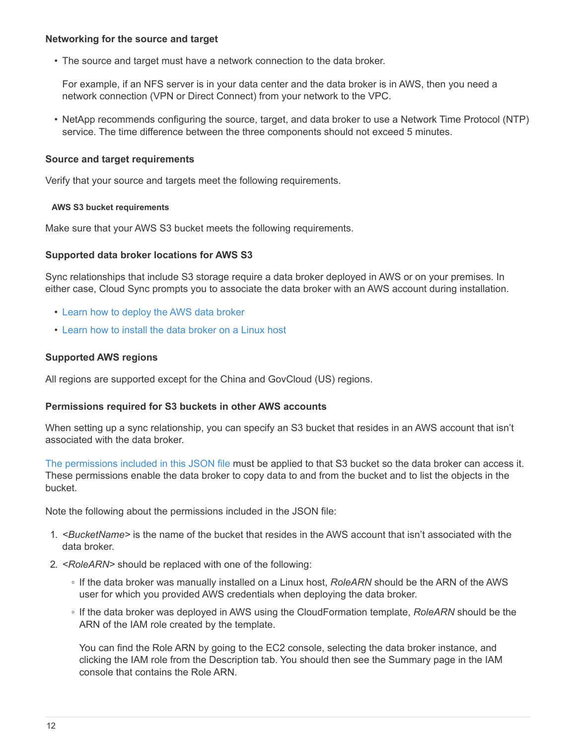## **Networking for the source and target**

• The source and target must have a network connection to the data broker.

For example, if an NFS server is in your data center and the data broker is in AWS, then you need a network connection (VPN or Direct Connect) from your network to the VPC.

• NetApp recommends configuring the source, target, and data broker to use a Network Time Protocol (NTP) service. The time difference between the three components should not exceed 5 minutes.

### **Source and target requirements**

Verify that your source and targets meet the following requirements.

### **AWS S3 bucket requirements**

Make sure that your AWS S3 bucket meets the following requirements.

### **Supported data broker locations for AWS S3**

Sync relationships that include S3 storage require a data broker deployed in AWS or on your premises. In either case, Cloud Sync prompts you to associate the data broker with an AWS account during installation.

- [Learn how to deploy the AWS data broker](#page-20-0)
- [Learn how to install the data broker on a Linux host](#page-27-0)

## **Supported AWS regions**

All regions are supported except for the China and GovCloud (US) regions.

## **Permissions required for S3 buckets in other AWS accounts**

When setting up a sync relationship, you can specify an S3 bucket that resides in an AWS account that isn't associated with the data broker.

[The permissions included in this JSON file](https://docs.netapp.com/us-en/occm38/media/aws_iam_policy_s3_bucket.json) must be applied to that S3 bucket so the data broker can access it. These permissions enable the data broker to copy data to and from the bucket and to list the objects in the bucket.

Note the following about the permissions included in the JSON file:

- 1. *<BucketName>* is the name of the bucket that resides in the AWS account that isn't associated with the data broker.
- 2. *<RoleARN>* should be replaced with one of the following:
	- If the data broker was manually installed on a Linux host, *RoleARN* should be the ARN of the AWS user for which you provided AWS credentials when deploying the data broker.
	- If the data broker was deployed in AWS using the CloudFormation template, *RoleARN* should be the ARN of the IAM role created by the template.

You can find the Role ARN by going to the EC2 console, selecting the data broker instance, and clicking the IAM role from the Description tab. You should then see the Summary page in the IAM console that contains the Role ARN.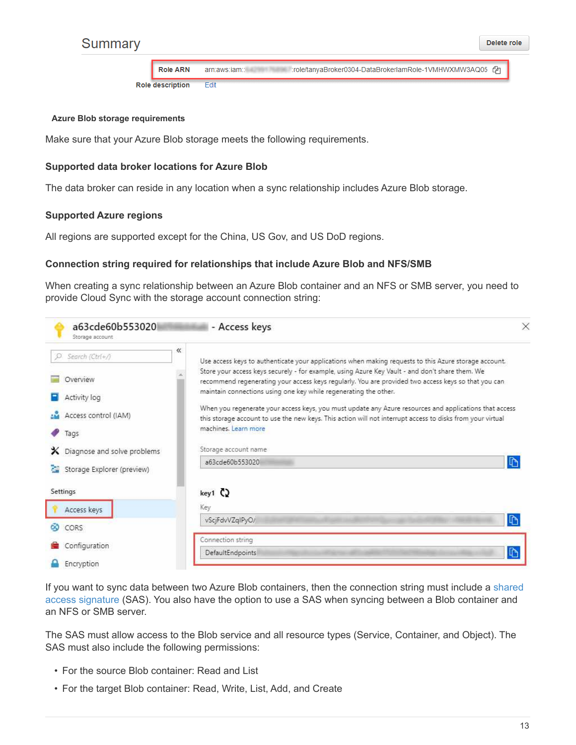

**Role ARN** arn:aws:iam:: :role/tanyaBroker0304-DataBrokerlamRole-1VMHWXMW3AQ05 4 **Role description** Edit

#### **Azure Blob storage requirements**

Make sure that your Azure Blob storage meets the following requirements.

### **Supported data broker locations for Azure Blob**

The data broker can reside in any location when a sync relationship includes Azure Blob storage.

### **Supported Azure regions**

All regions are supported except for the China, US Gov, and US DoD regions.

### **Connection string required for relationships that include Azure Blob and NFS/SMB**

When creating a sync relationship between an Azure Blob container and an NFS or SMB server, you need to provide Cloud Sync with the storage account connection string:

| a63cde60b553020<br>Storage account            | - Access keys                                                                                                                                                                                                                                                              | ×            |
|-----------------------------------------------|----------------------------------------------------------------------------------------------------------------------------------------------------------------------------------------------------------------------------------------------------------------------------|--------------|
| $\ll$<br>Search (Ctrl+/)                      | Use access keys to authenticate your applications when making requests to this Azure storage account.                                                                                                                                                                      |              |
| Overview                                      | Store your access keys securely - for example, using Azure Key Vault - and don't share them. We<br>recommend regenerating your access keys regularly. You are provided two access keys so that you can<br>maintain connections using one key while regenerating the other. |              |
| Activity log<br>Access control (IAM)          | When you regenerate your access keys, you must update any Azure resources and applications that access<br>this storage account to use the new keys. This action will not interrupt access to disks from your virtual                                                       |              |
| Tags                                          | machines. Learn more                                                                                                                                                                                                                                                       |              |
| $\mathsf{\times}$ Diagnose and solve problems | Storage account name                                                                                                                                                                                                                                                       |              |
| Storage Explorer (preview)<br>24              | a63cde60b553020                                                                                                                                                                                                                                                            | $\mathbb{D}$ |
| Settings                                      | $key1$ $Q$                                                                                                                                                                                                                                                                 |              |
| Access keys                                   | Key                                                                                                                                                                                                                                                                        |              |
| CORS<br>69                                    | vScjFdvVZqIPyO/                                                                                                                                                                                                                                                            | $\Gamma$     |
| Configuration                                 | Connection string                                                                                                                                                                                                                                                          |              |
| Encryption                                    | G<br>DefaultEndpoints                                                                                                                                                                                                                                                      |              |

If you want to sync data between two Azure Blob containers, then the connection string must include a [shared](https://docs.microsoft.com/en-us/azure/storage/common/storage-dotnet-shared-access-signature-part-1) [access signature](https://docs.microsoft.com/en-us/azure/storage/common/storage-dotnet-shared-access-signature-part-1) (SAS). You also have the option to use a SAS when syncing between a Blob container and an NFS or SMB server.

The SAS must allow access to the Blob service and all resource types (Service, Container, and Object). The SAS must also include the following permissions:

- For the source Blob container: Read and List
- For the target Blob container: Read, Write, List, Add, and Create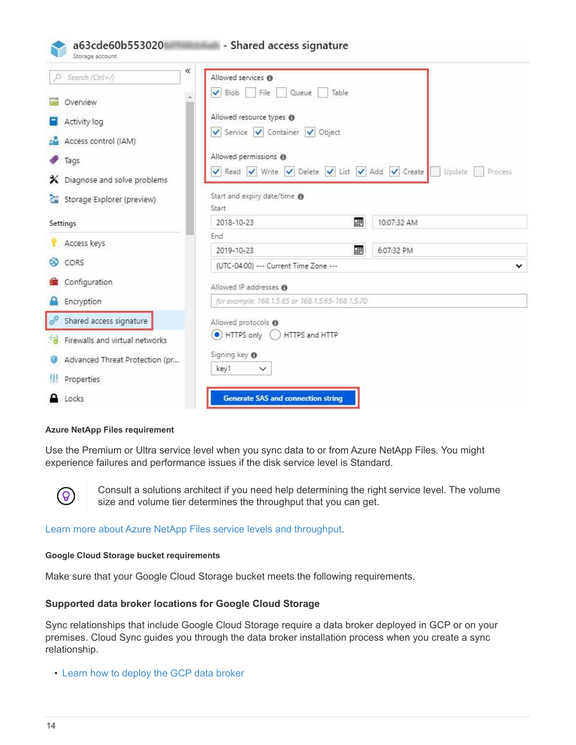| Storage account                                                                        | a63cde60b553020                      | - Shared access signature                                                                                                                                                                |       |                   |
|----------------------------------------------------------------------------------------|--------------------------------------|------------------------------------------------------------------------------------------------------------------------------------------------------------------------------------------|-------|-------------------|
| Search (Ctrl+/)<br>O.<br>Overview<br>Activity log<br>Access control (IAM)<br>Tags<br>x | $\ll$<br>Diagnose and solve problems | Allowed services @<br>$\vee$ Blob<br>File<br>Queue<br>Allowed resource types @<br>Service V Container V Object<br>Allowed permissions @<br>V Read V Write V Delete V List V Add V Create | Table | Update<br>Process |
| D.                                                                                     | Storage Explorer (preview)           | Start and expiry date/time @<br>Start                                                                                                                                                    |       |                   |
| Settings                                                                               |                                      | 2018-10-23                                                                                                                                                                               | 團     | 10:07:32 AM       |
| Access keys                                                                            |                                      | End                                                                                                                                                                                      |       |                   |
| CORS<br>CO.                                                                            |                                      | 2019-10-23<br>(UTC-04:00) --- Current Time Zone ---                                                                                                                                      | 翻     | 6:07:32 PM<br>v   |
| Configuration                                                                          |                                      | Allowed IP addresses @                                                                                                                                                                   |       |                   |
| Encryption                                                                             |                                      | for example, 168.1.5.65 or 168.1.5.65-168.1.5.70                                                                                                                                         |       |                   |
| ℰ                                                                                      | Shared access signature              | Allowed protocols @                                                                                                                                                                      |       |                   |
|                                                                                        | Firewalls and virtual networks       | $\bullet$ HTTPS only $\bigcirc$<br>HTTPS and HTTP                                                                                                                                        |       |                   |
|                                                                                        | Advanced Threat Protection (pr       | Signing key <b>O</b>                                                                                                                                                                     |       |                   |
| Properties                                                                             |                                      | key1<br>$\checkmark$                                                                                                                                                                     |       |                   |
| Locks                                                                                  |                                      | <b>Generate SAS and connection string</b>                                                                                                                                                |       |                   |

## **Azure NetApp Files requirement**

Use the Premium or Ultra service level when you sync data to or from Azure NetApp Files. You might experience failures and performance issues if the disk service level is Standard.



Consult a solutions architect if you need help determining the right service level. The volume size and volume tier determines the throughput that you can get.

[Learn more about Azure NetApp Files service levels and throughput](https://docs.microsoft.com/en-us/azure/azure-netapp-files/azure-netapp-files-service-levels#throughput-limits).

### **Google Cloud Storage bucket requirements**

Make sure that your Google Cloud Storage bucket meets the following requirements.

## **Supported data broker locations for Google Cloud Storage**

Sync relationships that include Google Cloud Storage require a data broker deployed in GCP or on your premises. Cloud Sync guides you through the data broker installation process when you create a sync relationship.

• [Learn how to deploy the GCP data broker](#page-25-0)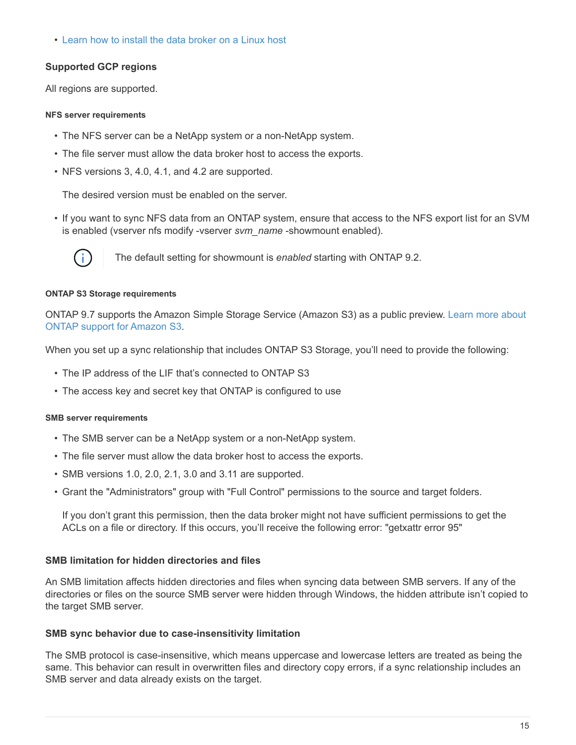• [Learn how to install the data broker on a Linux host](#page-27-0)

# **Supported GCP regions**

All regions are supported.

### **NFS server requirements**

- The NFS server can be a NetApp system or a non-NetApp system.
- The file server must allow the data broker host to access the exports.
- NFS versions 3, 4.0, 4.1, and 4.2 are supported.

The desired version must be enabled on the server.

• If you want to sync NFS data from an ONTAP system, ensure that access to the NFS export list for an SVM is enabled (vserver nfs modify -vserver *svm\_name* -showmount enabled).



The default setting for showmount is *enabled* starting with ONTAP 9.2.

### **ONTAP S3 Storage requirements**

ONTAP 9.7 supports the Amazon Simple Storage Service (Amazon S3) as a public preview. [Learn more about](https://www.netapp.com/us/media/tr-4814.pdf) [ONTAP support for Amazon S3](https://www.netapp.com/us/media/tr-4814.pdf).

When you set up a sync relationship that includes ONTAP S3 Storage, you'll need to provide the following:

- The IP address of the LIF that's connected to ONTAP S3
- The access key and secret key that ONTAP is configured to use

### **SMB server requirements**

- The SMB server can be a NetApp system or a non-NetApp system.
- The file server must allow the data broker host to access the exports.
- SMB versions 1.0, 2.0, 2.1, 3.0 and 3.11 are supported.
- Grant the "Administrators" group with "Full Control" permissions to the source and target folders.

If you don't grant this permission, then the data broker might not have sufficient permissions to get the ACLs on a file or directory. If this occurs, you'll receive the following error: "getxattr error 95"

# **SMB limitation for hidden directories and files**

An SMB limitation affects hidden directories and files when syncing data between SMB servers. If any of the directories or files on the source SMB server were hidden through Windows, the hidden attribute isn't copied to the target SMB server.

## **SMB sync behavior due to case-insensitivity limitation**

The SMB protocol is case-insensitive, which means uppercase and lowercase letters are treated as being the same. This behavior can result in overwritten files and directory copy errors, if a sync relationship includes an SMB server and data already exists on the target.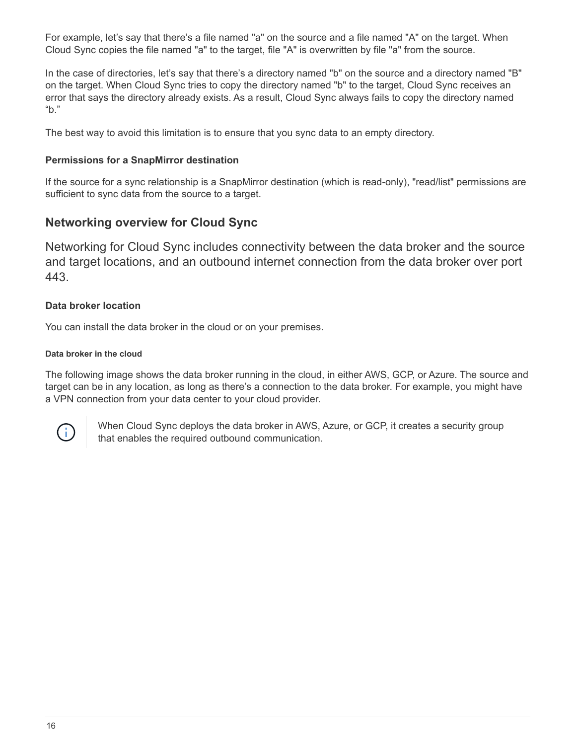For example, let's say that there's a file named "a" on the source and a file named "A" on the target. When Cloud Sync copies the file named "a" to the target, file "A" is overwritten by file "a" from the source.

In the case of directories, let's say that there's a directory named "b" on the source and a directory named "B" on the target. When Cloud Sync tries to copy the directory named "b" to the target, Cloud Sync receives an error that says the directory already exists. As a result, Cloud Sync always fails to copy the directory named "b."

The best way to avoid this limitation is to ensure that you sync data to an empty directory.

# **Permissions for a SnapMirror destination**

If the source for a sync relationship is a SnapMirror destination (which is read-only), "read/list" permissions are sufficient to sync data from the source to a target.

# <span id="page-17-0"></span>**Networking overview for Cloud Sync**

Networking for Cloud Sync includes connectivity between the data broker and the source and target locations, and an outbound internet connection from the data broker over port 443.

# **Data broker location**

You can install the data broker in the cloud or on your premises.

# **Data broker in the cloud**

The following image shows the data broker running in the cloud, in either AWS, GCP, or Azure. The source and target can be in any location, as long as there's a connection to the data broker. For example, you might have a VPN connection from your data center to your cloud provider.



When Cloud Sync deploys the data broker in AWS, Azure, or GCP, it creates a security group that enables the required outbound communication.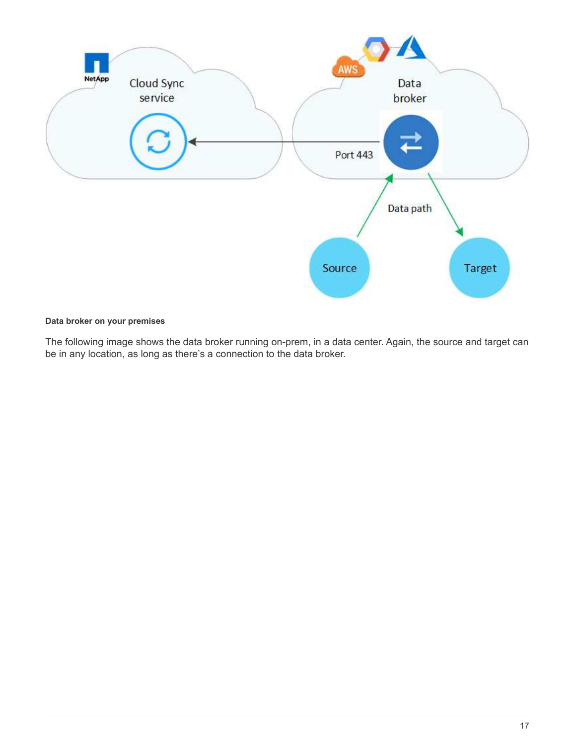

# **Data broker on your premises**

The following image shows the data broker running on-prem, in a data center. Again, the source and target can be in any location, as long as there's a connection to the data broker.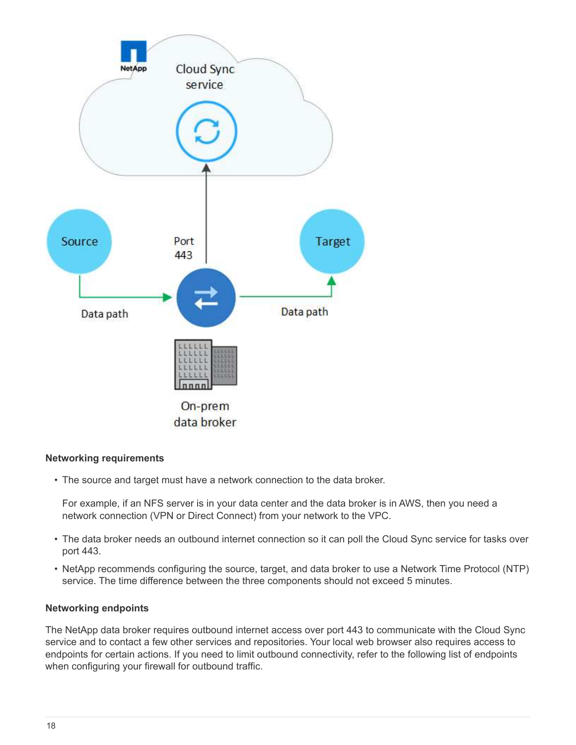

## **Networking requirements**

• The source and target must have a network connection to the data broker.

For example, if an NFS server is in your data center and the data broker is in AWS, then you need a network connection (VPN or Direct Connect) from your network to the VPC.

- The data broker needs an outbound internet connection so it can poll the Cloud Sync service for tasks over port 443.
- NetApp recommends configuring the source, target, and data broker to use a Network Time Protocol (NTP) service. The time difference between the three components should not exceed 5 minutes.

## **Networking endpoints**

The NetApp data broker requires outbound internet access over port 443 to communicate with the Cloud Sync service and to contact a few other services and repositories. Your local web browser also requires access to endpoints for certain actions. If you need to limit outbound connectivity, refer to the following list of endpoints when configuring your firewall for outbound traffic.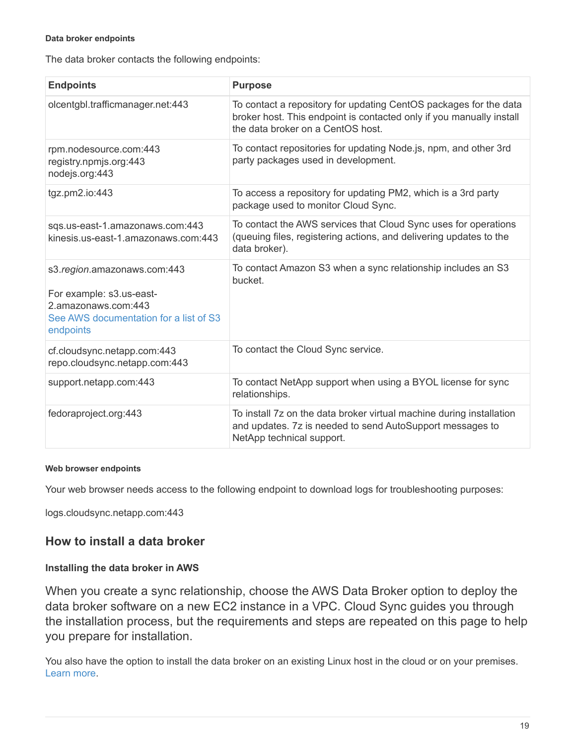### **Data broker endpoints**

The data broker contacts the following endpoints:

| <b>Endpoints</b>                                                                                                                      | <b>Purpose</b>                                                                                                                                                                 |
|---------------------------------------------------------------------------------------------------------------------------------------|--------------------------------------------------------------------------------------------------------------------------------------------------------------------------------|
| olcentgbl.trafficmanager.net:443                                                                                                      | To contact a repository for updating CentOS packages for the data<br>broker host. This endpoint is contacted only if you manually install<br>the data broker on a CentOS host. |
| rpm.nodesource.com:443<br>registry.npmjs.org:443<br>nodejs.org:443                                                                    | To contact repositories for updating Node.js, npm, and other 3rd<br>party packages used in development.                                                                        |
| tgz.pm2.io:443                                                                                                                        | To access a repository for updating PM2, which is a 3rd party<br>package used to monitor Cloud Sync.                                                                           |
| sqs.us-east-1.amazonaws.com:443<br>kinesis.us-east-1.amazonaws.com:443                                                                | To contact the AWS services that Cloud Sync uses for operations<br>(queuing files, registering actions, and delivering updates to the<br>data broker).                         |
| s3.region.amazonaws.com:443<br>For example: s3.us-east-<br>2.amazonaws.com:443<br>See AWS documentation for a list of S3<br>endpoints | To contact Amazon S3 when a sync relationship includes an S3<br>bucket.                                                                                                        |
| cf.cloudsync.netapp.com:443<br>repo.cloudsync.netapp.com:443                                                                          | To contact the Cloud Sync service.                                                                                                                                             |
| support.netapp.com:443                                                                                                                | To contact NetApp support when using a BYOL license for sync<br>relationships.                                                                                                 |
| fedoraproject.org:443                                                                                                                 | To install 7z on the data broker virtual machine during installation<br>and updates. 7z is needed to send AutoSupport messages to<br>NetApp technical support.                 |

## **Web browser endpoints**

Your web browser needs access to the following endpoint to download logs for troubleshooting purposes:

logs.cloudsync.netapp.com:443

# **How to install a data broker**

## <span id="page-20-0"></span>**Installing the data broker in AWS**

When you create a sync relationship, choose the AWS Data Broker option to deploy the data broker software on a new EC2 instance in a VPC. Cloud Sync guides you through the installation process, but the requirements and steps are repeated on this page to help you prepare for installation.

You also have the option to install the data broker on an existing Linux host in the cloud or on your premises. [Learn more.](#page-27-0)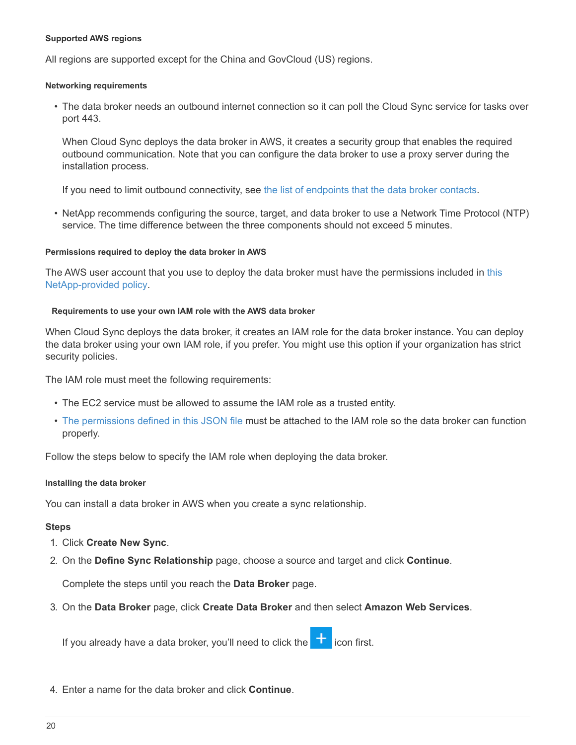### **Supported AWS regions**

All regions are supported except for the China and GovCloud (US) regions.

### **Networking requirements**

• The data broker needs an outbound internet connection so it can poll the Cloud Sync service for tasks over port 443.

When Cloud Sync deploys the data broker in AWS, it creates a security group that enables the required outbound communication. Note that you can configure the data broker to use a proxy server during the installation process.

If you need to limit outbound connectivity, see [the list of endpoints that the data broker contacts.](#page-17-0)

• NetApp recommends configuring the source, target, and data broker to use a Network Time Protocol (NTP) service. The time difference between the three components should not exceed 5 minutes.

### **Permissions required to deploy the data broker in AWS**

The AWS user account that you use to deploy the data broker must have the permissions included in [this](https://s3.amazonaws.com/metadata.datafabric.io/docs/aws_iam_policy.json) [NetApp-provided policy.](https://s3.amazonaws.com/metadata.datafabric.io/docs/aws_iam_policy.json)

### <span id="page-21-0"></span>**Requirements to use your own IAM role with the AWS data broker**

When Cloud Sync deploys the data broker, it creates an IAM role for the data broker instance. You can deploy the data broker using your own IAM role, if you prefer. You might use this option if your organization has strict security policies.

The IAM role must meet the following requirements:

- The EC2 service must be allowed to assume the IAM role as a trusted entity.
- [The permissions defined in this JSON file](https://docs.netapp.com/us-en/occm38/media/aws_iam_policy_data_broker.json) must be attached to the IAM role so the data broker can function properly.

Follow the steps below to specify the IAM role when deploying the data broker.

### <span id="page-21-1"></span>**Installing the data broker**

You can install a data broker in AWS when you create a sync relationship.

## **Steps**

- 1. Click **Create New Sync**.
- 2. On the **Define Sync Relationship** page, choose a source and target and click **Continue**.

Complete the steps until you reach the **Data Broker** page.

3. On the **Data Broker** page, click **Create Data Broker** and then select **Amazon Web Services**.

If you already have a data broker, you'll need to click the  $\Box$  icon first.

4. Enter a name for the data broker and click **Continue**.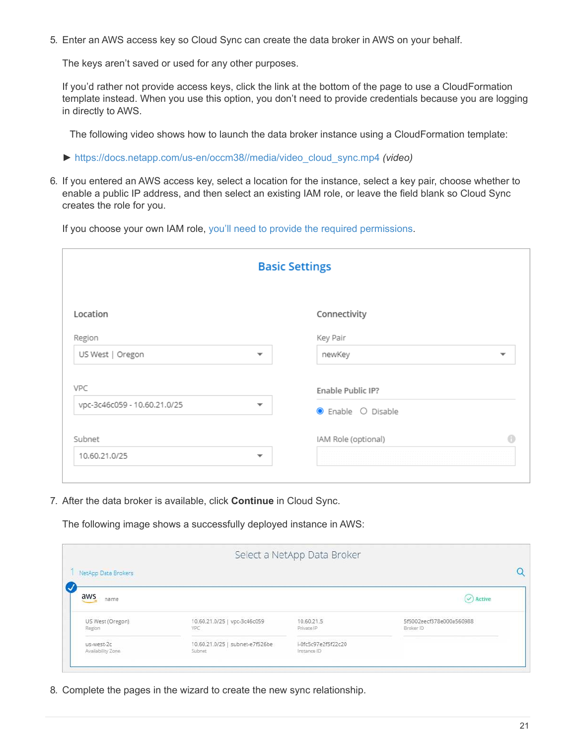5. Enter an AWS access key so Cloud Sync can create the data broker in AWS on your behalf.

The keys aren't saved or used for any other purposes.

If you'd rather not provide access keys, click the link at the bottom of the page to use a CloudFormation template instead. When you use this option, you don't need to provide credentials because you are logging in directly to AWS.

The following video shows how to launch the data broker instance using a CloudFormation template:

- ► [https://docs.netapp.com/us-en/occm38//media/video\\_cloud\\_sync.mp4](https://docs.netapp.com/us-en/occm38//media/video_cloud_sync.mp4) *(video)*
- 6. If you entered an AWS access key, select a location for the instance, select a key pair, choose whether to enable a public IP address, and then select an existing IAM role, or leave the field blank so Cloud Sync creates the role for you.

If you choose your own IAM role, [you'll need to provide the required permissions.](#page-21-0)

| <b>Basic Settings</b>        |                          |                     |                          |
|------------------------------|--------------------------|---------------------|--------------------------|
| Location                     |                          | Connectivity        |                          |
| Region                       |                          | Key Pair            |                          |
| US West   Oregon             | $\overline{\phantom{a}}$ | newKey              | $\overline{\phantom{a}}$ |
| VPC                          |                          | Enable Public IP?   |                          |
| vpc-3c46c059 - 10.60.21.0/25 | $\overline{\phantom{a}}$ | C Enable O Disable  |                          |
| Subnet                       |                          | IAM Role (optional) | A                        |
| 10.60.21.0/25                | $\overline{\phantom{a}}$ |                     |                          |

7. After the data broker is available, click **Continue** in Cloud Sync.

The following image shows a successfully deployed instance in AWS:

|                                 |                                            | Select a NetApp Data Broker        |                                                                                        |
|---------------------------------|--------------------------------------------|------------------------------------|----------------------------------------------------------------------------------------|
| NetApp Data Brokers             |                                            |                                    |                                                                                        |
| aws<br>name                     |                                            |                                    | Active                                                                                 |
| US West (Oregon)<br>Region      | 10.60.21.0/25   vpc-3c46c059<br><b>VPC</b> | 10.60.21.5<br>Private IP           | 2) 2009년 2월 11일 - 대체상 2월 2일 3월 3일 3월 3일 3월 3월<br>5f5002eecf378e000a560988<br>Broker ID |
| us-west-2c<br>Availability Zone | 10.60.21.0/25   subnet-e7f526be<br>Sübnet  | i-0fc5c97e2f5f22c20<br>Instance ID |                                                                                        |

8. Complete the pages in the wizard to create the new sync relationship.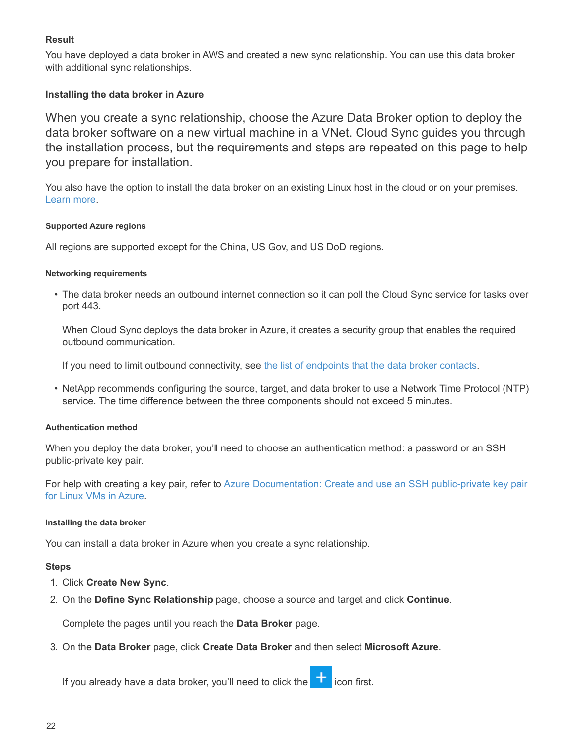# **Result**

You have deployed a data broker in AWS and created a new sync relationship. You can use this data broker with additional sync relationships.

# <span id="page-23-0"></span>**Installing the data broker in Azure**

When you create a sync relationship, choose the Azure Data Broker option to deploy the data broker software on a new virtual machine in a VNet. Cloud Sync guides you through the installation process, but the requirements and steps are repeated on this page to help you prepare for installation.

You also have the option to install the data broker on an existing Linux host in the cloud or on your premises. [Learn more.](#page-27-0)

### **Supported Azure regions**

All regions are supported except for the China, US Gov, and US DoD regions.

## **Networking requirements**

• The data broker needs an outbound internet connection so it can poll the Cloud Sync service for tasks over port 443.

When Cloud Sync deploys the data broker in Azure, it creates a security group that enables the required outbound communication.

If you need to limit outbound connectivity, see [the list of endpoints that the data broker contacts.](#page-17-0)

• NetApp recommends configuring the source, target, and data broker to use a Network Time Protocol (NTP) service. The time difference between the three components should not exceed 5 minutes.

## **Authentication method**

When you deploy the data broker, you'll need to choose an authentication method: a password or an SSH public-private key pair.

For help with creating a key pair, refer to [Azure Documentation: Create and use an SSH public-private key pair](https://docs.microsoft.com/en-us/azure/virtual-machines/linux/mac-create-ssh-keys) [for Linux VMs in Azure](https://docs.microsoft.com/en-us/azure/virtual-machines/linux/mac-create-ssh-keys).

## **Installing the data broker**

You can install a data broker in Azure when you create a sync relationship.

## **Steps**

- 1. Click **Create New Sync**.
- 2. On the **Define Sync Relationship** page, choose a source and target and click **Continue**.

Complete the pages until you reach the **Data Broker** page.

3. On the **Data Broker** page, click **Create Data Broker** and then select **Microsoft Azure**.

If you already have a data broker, you'll need to click the  $\blacksquare$  icon first.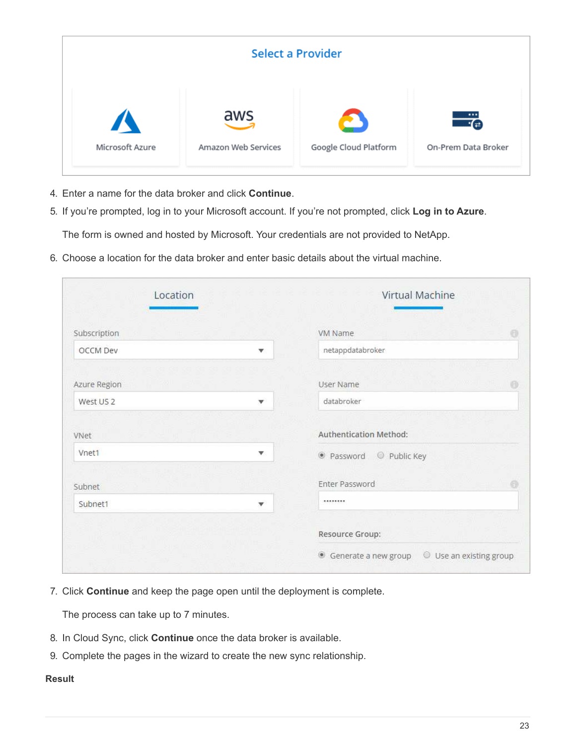| <b>Select a Provider</b> |                     |                       |                     |  |  |  |
|--------------------------|---------------------|-----------------------|---------------------|--|--|--|
| $\boldsymbol{I}$         | aws                 | Google Cloud Platform | $\cdots$            |  |  |  |
| Microsoft Azure          | Amazon Web Services |                       | On-Prem Data Broker |  |  |  |

- 4. Enter a name for the data broker and click **Continue**.
- 5. If you're prompted, log in to your Microsoft account. If you're not prompted, click **Log in to Azure**.

The form is owned and hosted by Microsoft. Your credentials are not provided to NetApp.

6. Choose a location for the data broker and enter basic details about the virtual machine.

| Location             |              | Virtual Machine                                 |          |  |
|----------------------|--------------|-------------------------------------------------|----------|--|
| Subscription         |              | VM Name                                         | 0        |  |
| OCCM Dev             | v            | netappdatabroker                                |          |  |
| Azure Region         |              | 110000011<br>User Name                          | 份        |  |
| West US <sub>2</sub> | $\mathbf{v}$ | databroker                                      |          |  |
| VNet                 |              | <b>Authentication Method:</b>                   |          |  |
| Vnet1                | v            | ● Password ● Public Key                         |          |  |
| Subnet               |              | Enter Password                                  | $\oplus$ |  |
| Subnet1              | v            |                                                 |          |  |
|                      |              | Resource Group:                                 |          |  |
|                      |              | Use an existing group<br>· Generate a new group |          |  |

7. Click **Continue** and keep the page open until the deployment is complete.

The process can take up to 7 minutes.

- 8. In Cloud Sync, click **Continue** once the data broker is available.
- 9. Complete the pages in the wizard to create the new sync relationship.

# **Result**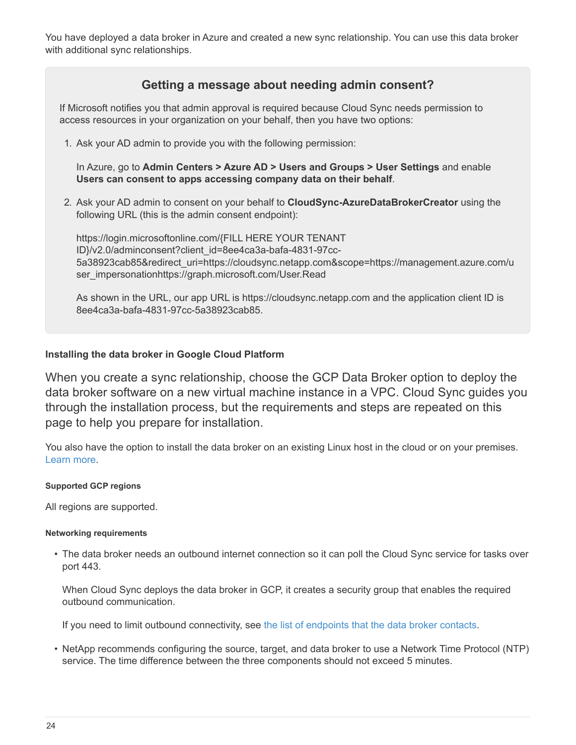You have deployed a data broker in Azure and created a new sync relationship. You can use this data broker with additional sync relationships.

# **Getting a message about needing admin consent?**

If Microsoft notifies you that admin approval is required because Cloud Sync needs permission to access resources in your organization on your behalf, then you have two options:

1. Ask your AD admin to provide you with the following permission:

In Azure, go to **Admin Centers > Azure AD > Users and Groups > User Settings** and enable **Users can consent to apps accessing company data on their behalf**.

2. Ask your AD admin to consent on your behalf to **CloudSync-AzureDataBrokerCreator** using the following URL (this is the admin consent endpoint):

https://login.microsoftonline.com/{FILL HERE YOUR TENANT ID}/v2.0/adminconsent?client\_id=8ee4ca3a-bafa-4831-97cc-5a38923cab85&redirect\_uri=https://cloudsync.netapp.com&scope=https://management.azure.com/u ser\_impersonationhttps://graph.microsoft.com/User.Read

As shown in the URL, our app URL is https://cloudsync.netapp.com and the application client ID is 8ee4ca3a-bafa-4831-97cc-5a38923cab85.

## <span id="page-25-0"></span>**Installing the data broker in Google Cloud Platform**

When you create a sync relationship, choose the GCP Data Broker option to deploy the data broker software on a new virtual machine instance in a VPC. Cloud Sync guides you through the installation process, but the requirements and steps are repeated on this page to help you prepare for installation.

You also have the option to install the data broker on an existing Linux host in the cloud or on your premises. [Learn more.](#page-27-0)

### **Supported GCP regions**

All regions are supported.

### **Networking requirements**

• The data broker needs an outbound internet connection so it can poll the Cloud Sync service for tasks over port 443.

When Cloud Sync deploys the data broker in GCP, it creates a security group that enables the required outbound communication.

If you need to limit outbound connectivity, see [the list of endpoints that the data broker contacts.](#page-17-0)

• NetApp recommends configuring the source, target, and data broker to use a Network Time Protocol (NTP) service. The time difference between the three components should not exceed 5 minutes.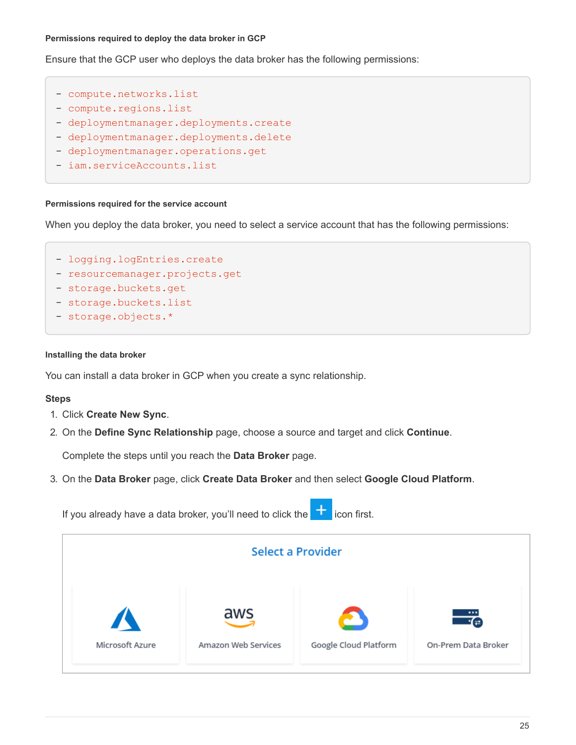### **Permissions required to deploy the data broker in GCP**

Ensure that the GCP user who deploys the data broker has the following permissions:

- compute.networks.list
- compute.regions.list
- deploymentmanager.deployments.create
- deploymentmanager.deployments.delete
- deploymentmanager.operations.get
- iam.serviceAccounts.list

#### **Permissions required for the service account**

When you deploy the data broker, you need to select a service account that has the following permissions:

- logging.logEntries.create
- resourcemanager.projects.get
- storage.buckets.get
- storage.buckets.list
- storage.objects.\*

#### **Installing the data broker**

You can install a data broker in GCP when you create a sync relationship.

### **Steps**

- 1. Click **Create New Sync**.
- 2. On the **Define Sync Relationship** page, choose a source and target and click **Continue**.

Complete the steps until you reach the **Data Broker** page.

3. On the **Data Broker** page, click **Create Data Broker** and then select **Google Cloud Platform**.

If you already have a data broker, you'll need to click the  $\Box$  icon first.

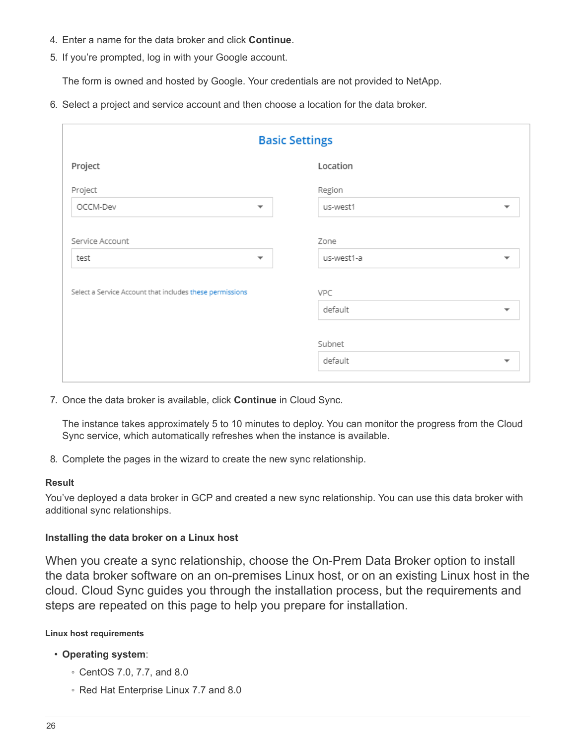- 4. Enter a name for the data broker and click **Continue**.
- 5. If you're prompted, log in with your Google account.

The form is owned and hosted by Google. Your credentials are not provided to NetApp.

6. Select a project and service account and then choose a location for the data broker.

| <b>Basic Settings</b>                                    |                          |                                                |  |  |  |
|----------------------------------------------------------|--------------------------|------------------------------------------------|--|--|--|
| Project                                                  |                          | Location                                       |  |  |  |
| Project                                                  |                          | Region                                         |  |  |  |
| OCCM-Dev                                                 | $\overline{\phantom{a}}$ | us-west1<br>▼                                  |  |  |  |
| Service Account<br>test                                  | $\overline{\phantom{a}}$ | Zone<br>us-west1-a<br>$\overline{\phantom{a}}$ |  |  |  |
| Select a Service Account that includes these permissions |                          | VPC<br>default<br>$\overline{\phantom{a}}$     |  |  |  |
|                                                          |                          | Subnet<br>default<br>$\overline{\phantom{a}}$  |  |  |  |

7. Once the data broker is available, click **Continue** in Cloud Sync.

The instance takes approximately 5 to 10 minutes to deploy. You can monitor the progress from the Cloud Sync service, which automatically refreshes when the instance is available.

8. Complete the pages in the wizard to create the new sync relationship.

## **Result**

You've deployed a data broker in GCP and created a new sync relationship. You can use this data broker with additional sync relationships.

# <span id="page-27-0"></span>**Installing the data broker on a Linux host**

When you create a sync relationship, choose the On-Prem Data Broker option to install the data broker software on an on-premises Linux host, or on an existing Linux host in the cloud. Cloud Sync guides you through the installation process, but the requirements and steps are repeated on this page to help you prepare for installation.

## **Linux host requirements**

# • **Operating system**:

- CentOS 7.0, 7.7, and 8.0
- Red Hat Enterprise Linux 7.7 and 8.0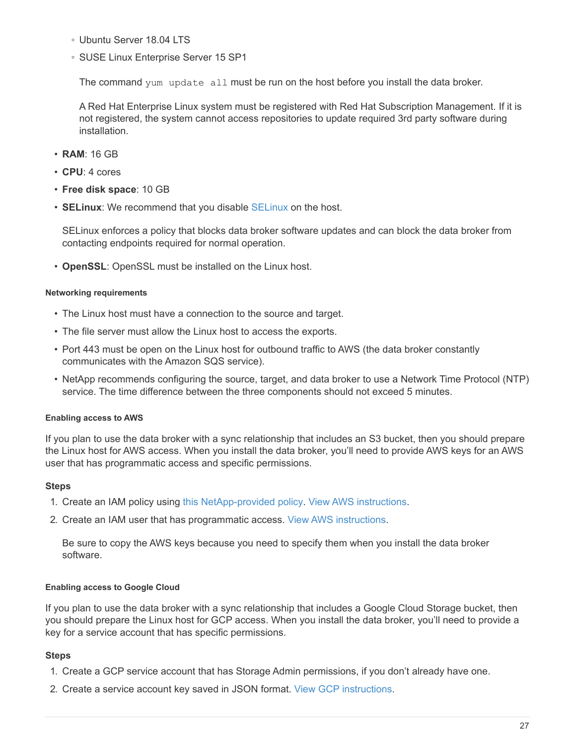- Ubuntu Server 18.04 LTS
- SUSE Linux Enterprise Server 15 SP1

The command yum update all must be run on the host before you install the data broker.

A Red Hat Enterprise Linux system must be registered with Red Hat Subscription Management. If it is not registered, the system cannot access repositories to update required 3rd party software during installation.

- **RAM**: 16 GB
- **CPU**: 4 cores
- **Free disk space**: 10 GB
- **SELinux**: We recommend that you disable [SELinux](https://selinuxproject.org/) on the host.

SELinux enforces a policy that blocks data broker software updates and can block the data broker from contacting endpoints required for normal operation.

• **OpenSSL**: OpenSSL must be installed on the Linux host.

## **Networking requirements**

- The Linux host must have a connection to the source and target.
- The file server must allow the Linux host to access the exports.
- Port 443 must be open on the Linux host for outbound traffic to AWS (the data broker constantly communicates with the Amazon SQS service).
- NetApp recommends configuring the source, target, and data broker to use a Network Time Protocol (NTP) service. The time difference between the three components should not exceed 5 minutes.

## <span id="page-28-0"></span>**Enabling access to AWS**

If you plan to use the data broker with a sync relationship that includes an S3 bucket, then you should prepare the Linux host for AWS access. When you install the data broker, you'll need to provide AWS keys for an AWS user that has programmatic access and specific permissions.

## **Steps**

- 1. Create an IAM policy using [this NetApp-provided policy](https://s3.amazonaws.com/metadata.datafabric.io/docs/on_prem_iam_policy.json). [View AWS instructions](https://docs.aws.amazon.com/IAM/latest/UserGuide/access_policies_create.html).
- 2. Create an IAM user that has programmatic access. [View AWS instructions](https://docs.aws.amazon.com/IAM/latest/UserGuide/id_users_create.html).

Be sure to copy the AWS keys because you need to specify them when you install the data broker software.

## <span id="page-28-1"></span>**Enabling access to Google Cloud**

If you plan to use the data broker with a sync relationship that includes a Google Cloud Storage bucket, then you should prepare the Linux host for GCP access. When you install the data broker, you'll need to provide a key for a service account that has specific permissions.

# **Steps**

- 1. Create a GCP service account that has Storage Admin permissions, if you don't already have one.
- 2. Create a service account key saved in JSON format. [View GCP instructions.](https://cloud.google.com/iam/docs/creating-managing-service-account-keys#creating_service_account_keys)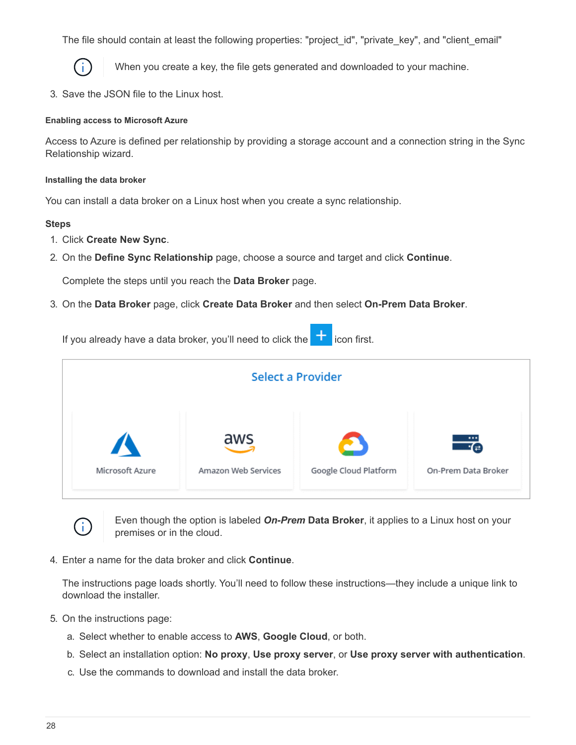The file should contain at least the following properties: "project id", "private key", and "client email"



When you create a key, the file gets generated and downloaded to your machine.

3. Save the JSON file to the Linux host.

### **Enabling access to Microsoft Azure**

Access to Azure is defined per relationship by providing a storage account and a connection string in the Sync Relationship wizard.

#### **Installing the data broker**

You can install a data broker on a Linux host when you create a sync relationship.

### **Steps**

- 1. Click **Create New Sync**.
- 2. On the **Define Sync Relationship** page, choose a source and target and click **Continue**.

Complete the steps until you reach the **Data Broker** page.

3. On the **Data Broker** page, click **Create Data Broker** and then select **On-Prem Data Broker**.

If you already have a data broker, you'll need to click the  $\Box$  icon first.





Even though the option is labeled *On-Prem* **Data Broker**, it applies to a Linux host on your premises or in the cloud.

4. Enter a name for the data broker and click **Continue**.

The instructions page loads shortly. You'll need to follow these instructions—they include a unique link to download the installer.

- 5. On the instructions page:
	- a. Select whether to enable access to **AWS**, **Google Cloud**, or both.
	- b. Select an installation option: **No proxy**, **Use proxy server**, or **Use proxy server with authentication**.
	- c. Use the commands to download and install the data broker.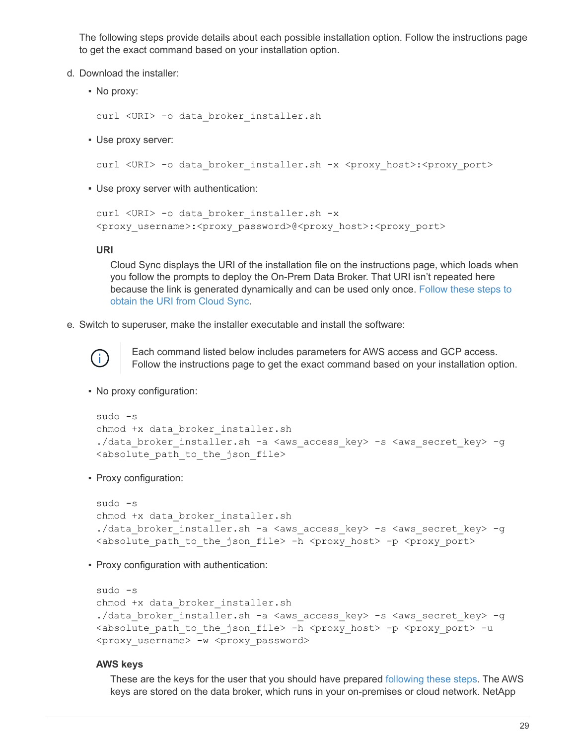The following steps provide details about each possible installation option. Follow the instructions page to get the exact command based on your installation option.

- d. Download the installer:
	- No proxy:

curl <URI> -o data\_broker\_installer.sh

▪ Use proxy server:

curl <URI> -o data\_broker\_installer.sh -x <proxy\_host>:<proxy\_port>

▪ Use proxy server with authentication:

```
curl <URI> -o data_broker_installer.sh -x
<proxy_username>:<proxy_password>@<proxy_host>:<proxy_port>
```
### **URI**

Cloud Sync displays the URI of the installation file on the instructions page, which loads when you follow the prompts to deploy the On-Prem Data Broker. That URI isn't repeated here because the link is generated dynamically and can be used only once. [Follow these steps to](#page-21-1) [obtain the URI from Cloud Sync.](#page-21-1)

e. Switch to superuser, make the installer executable and install the software:



Each command listed below includes parameters for AWS access and GCP access. Follow the instructions page to get the exact command based on your installation option.

▪ No proxy configuration:

```
sudo -s
chmod +x data_broker_installer.sh
./data broker installer.sh -a <aws access key> -s <aws secret key> -g
<absolute_path_to_the_json_file>
```
▪ Proxy configuration:

```
sudo -s
chmod +x data_broker_installer.sh
./data broker installer.sh -a <aws access key> -s <aws secret key> -g
<absolute path to the json file> -h <proxy host> -p <proxy port>
```
**• Proxy configuration with authentication:** 

```
sudo -s
chmod +x data_broker_installer.sh
./data broker installer.sh -a <aws access key> -s <aws secret key> -g
<absolute_path_to_the_json_file> -h <proxy_host> -p <proxy_port> -u
<proxy_username> -w <proxy_password>
```
### **AWS keys**

These are the keys for the user that you should have prepared [following these steps](#page-28-0). The AWS keys are stored on the data broker, which runs in your on-premises or cloud network. NetApp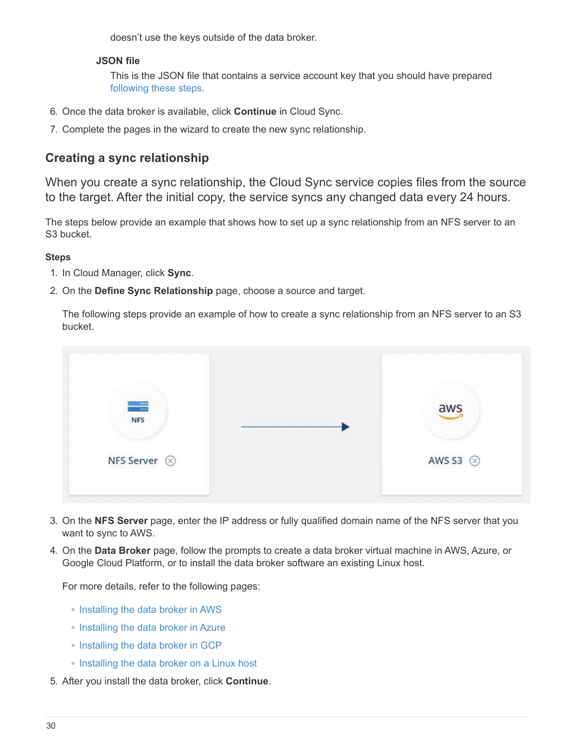doesn't use the keys outside of the data broker.

# **JSON file**

This is the JSON file that contains a service account key that you should have prepared [following these steps.](#page-28-1)

- 6. Once the data broker is available, click **Continue** in Cloud Sync.
- 7. Complete the pages in the wizard to create the new sync relationship.

# <span id="page-31-0"></span>**Creating a sync relationship**

When you create a sync relationship, the Cloud Sync service copies files from the source to the target. After the initial copy, the service syncs any changed data every 24 hours.

The steps below provide an example that shows how to set up a sync relationship from an NFS server to an S3 bucket.

# **Steps**

- 1. In Cloud Manager, click **Sync**.
- 2. On the **Define Sync Relationship** page, choose a source and target.

The following steps provide an example of how to create a sync relationship from an NFS server to an S3 bucket.



- 3. On the **NFS Server** page, enter the IP address or fully qualified domain name of the NFS server that you want to sync to AWS.
- 4. On the **Data Broker** page, follow the prompts to create a data broker virtual machine in AWS, Azure, or Google Cloud Platform, or to install the data broker software an existing Linux host.

For more details, refer to the following pages:

- [Installing the data broker in AWS](#page-20-0)
- [Installing the data broker in Azure](#page-23-0)
- [Installing the data broker in GCP](#page-25-0)
- [Installing the data broker on a Linux host](#page-27-0)
- 5. After you install the data broker, click **Continue**.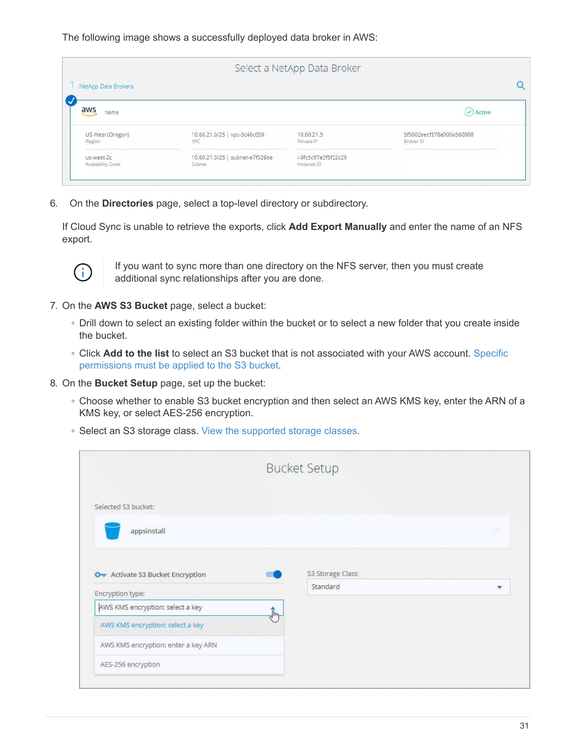The following image shows a successfully deployed data broker in AWS:

|                            |                                           | Select a NetApp Data Broker        |                                       |
|----------------------------|-------------------------------------------|------------------------------------|---------------------------------------|
| NetApp Data Brokers        |                                           |                                    |                                       |
| aws<br>name                |                                           |                                    | $\vee$ ) Active                       |
| US West (Oregon)<br>Region | 10.60.21.0/25   vpc-3c46c059<br>VPC       | 10.60.21.5<br>Private IP           | 5f5002eecf378e000a560988<br>Broker ID |
| us-west-2c                 | 10.60.21.0/25   subnet-e7f526be<br>Sübnet | i-0fc5c97e2f5f22c20<br>Instance ID |                                       |

6. On the **Directories** page, select a top-level directory or subdirectory.

If Cloud Sync is unable to retrieve the exports, click **Add Export Manually** and enter the name of an NFS export.



If you want to sync more than one directory on the NFS server, then you must create additional sync relationships after you are done.

- 7. On the **AWS S3 Bucket** page, select a bucket:
	- Drill down to select an existing folder within the bucket or to select a new folder that you create inside the bucket.
	- Click **Add to the list** to select an S3 bucket that is not associated with your AWS account. [Specific](#page-6-0) [permissions must be applied to the S3 bucket.](#page-6-0)
- 8. On the **Bucket Setup** page, set up the bucket:
	- Choose whether to enable S3 bucket encryption and then select an AWS KMS key, enter the ARN of a KMS key, or select AES-256 encryption.
	- Select an S3 storage class. [View the supported storage classes.](#page-6-0)

|                                     | <b>Bucket Setup</b> |   |
|-------------------------------------|---------------------|---|
| Selected S3 bucket:                 |                     |   |
| appsinstall                         |                     | × |
| O + Activate S3 Bucket Encryption   | S3 Storage Class    |   |
|                                     |                     |   |
| Encryption type:                    | Standard            | v |
| AWS KMS encryption: select a key    |                     |   |
| AWS KMS encryption: select a key    | $\frac{1}{2}$       |   |
| AWS KMS encryption: enter a key ARN |                     |   |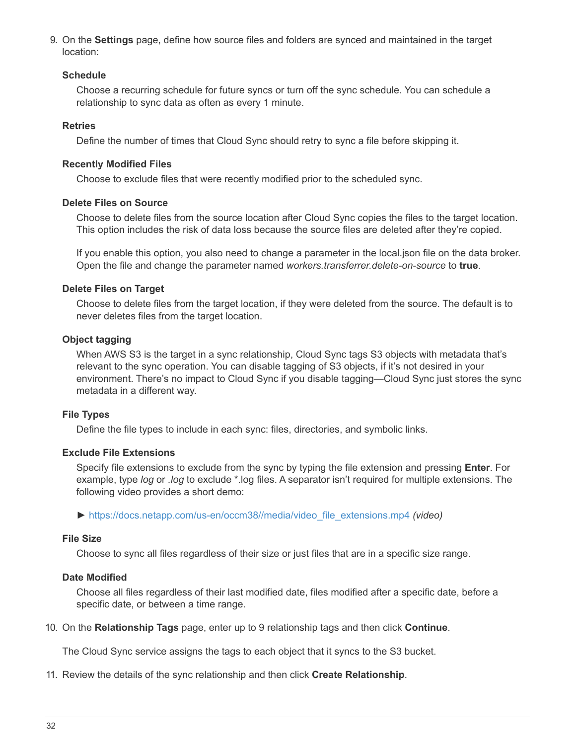9. On the **Settings** page, define how source files and folders are synced and maintained in the target location:

# **Schedule**

Choose a recurring schedule for future syncs or turn off the sync schedule. You can schedule a relationship to sync data as often as every 1 minute.

## **Retries**

Define the number of times that Cloud Sync should retry to sync a file before skipping it.

# **Recently Modified Files**

Choose to exclude files that were recently modified prior to the scheduled sync.

# **Delete Files on Source**

Choose to delete files from the source location after Cloud Sync copies the files to the target location. This option includes the risk of data loss because the source files are deleted after they're copied.

If you enable this option, you also need to change a parameter in the local.json file on the data broker. Open the file and change the parameter named *workers.transferrer.delete-on-source* to **true**.

# **Delete Files on Target**

Choose to delete files from the target location, if they were deleted from the source. The default is to never deletes files from the target location.

# **Object tagging**

When AWS S3 is the target in a sync relationship, Cloud Sync tags S3 objects with metadata that's relevant to the sync operation. You can disable tagging of S3 objects, if it's not desired in your environment. There's no impact to Cloud Sync if you disable tagging—Cloud Sync just stores the sync metadata in a different way.

# **File Types**

Define the file types to include in each sync: files, directories, and symbolic links.

# **Exclude File Extensions**

Specify file extensions to exclude from the sync by typing the file extension and pressing **Enter**. For example, type *log* or *.log* to exclude \*.log files. A separator isn't required for multiple extensions. The following video provides a short demo:

► [https://docs.netapp.com/us-en/occm38//media/video\\_file\\_extensions.mp4](https://docs.netapp.com/us-en/occm38//media/video_file_extensions.mp4) *(video)*

# **File Size**

Choose to sync all files regardless of their size or just files that are in a specific size range.

# **Date Modified**

Choose all files regardless of their last modified date, files modified after a specific date, before a specific date, or between a time range.

10. On the **Relationship Tags** page, enter up to 9 relationship tags and then click **Continue**.

The Cloud Sync service assigns the tags to each object that it syncs to the S3 bucket.

11. Review the details of the sync relationship and then click **Create Relationship**.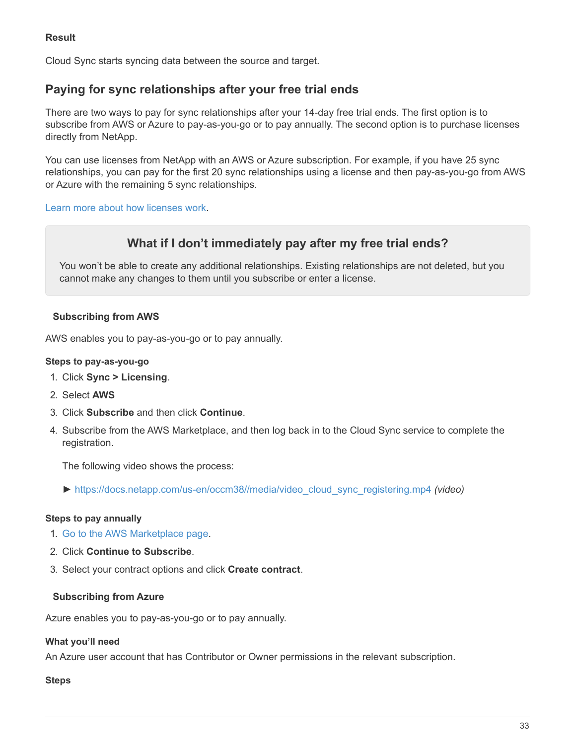# **Result**

Cloud Sync starts syncing data between the source and target.

# <span id="page-34-0"></span>**Paying for sync relationships after your free trial ends**

There are two ways to pay for sync relationships after your 14-day free trial ends. The first option is to subscribe from AWS or Azure to pay-as-you-go or to pay annually. The second option is to purchase licenses directly from NetApp.

You can use licenses from NetApp with an AWS or Azure subscription. For example, if you have 25 sync relationships, you can pay for the first 20 sync relationships using a license and then pay-as-you-go from AWS or Azure with the remaining 5 sync relationships.

[Learn more about how licenses work](#page-2-1).

# **What if I don't immediately pay after my free trial ends?**

You won't be able to create any additional relationships. Existing relationships are not deleted, but you cannot make any changes to them until you subscribe or enter a license.

# **Subscribing from AWS**

AWS enables you to pay-as-you-go or to pay annually.

### **Steps to pay-as-you-go**

- 1. Click **Sync > Licensing**.
- 2. Select **AWS**
- 3. Click **Subscribe** and then click **Continue**.
- 4. Subscribe from the AWS Marketplace, and then log back in to the Cloud Sync service to complete the registration.

The following video shows the process:

► [https://docs.netapp.com/us-en/occm38//media/video\\_cloud\\_sync\\_registering.mp4](https://docs.netapp.com/us-en/occm38//media/video_cloud_sync_registering.mp4) *(video)*

## **Steps to pay annually**

- 1. [Go to the AWS Marketplace page.](https://aws.amazon.com/marketplace/pp/B06XX5V3M2)
- 2. Click **Continue to Subscribe**.
- 3. Select your contract options and click **Create contract**.

## **Subscribing from Azure**

Azure enables you to pay-as-you-go or to pay annually.

# **What you'll need**

An Azure user account that has Contributor or Owner permissions in the relevant subscription.

### **Steps**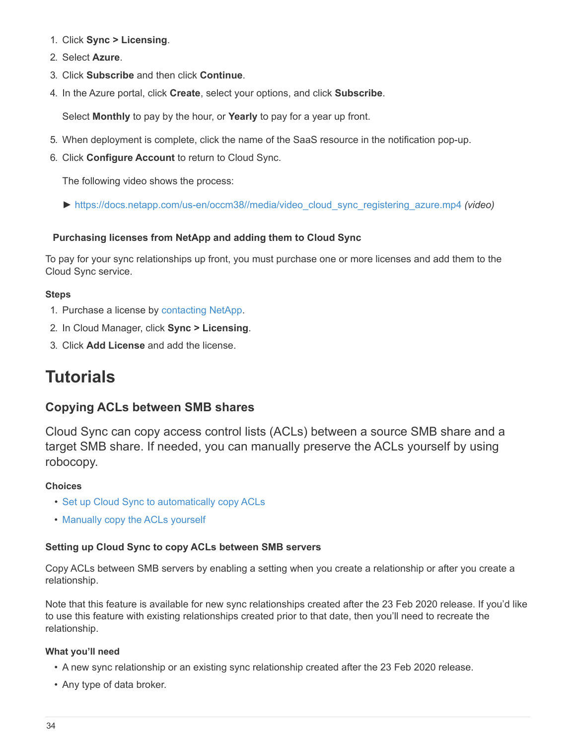- 1. Click **Sync > Licensing**.
- 2. Select **Azure**.
- 3. Click **Subscribe** and then click **Continue**.
- 4. In the Azure portal, click **Create**, select your options, and click **Subscribe**.

Select **Monthly** to pay by the hour, or **Yearly** to pay for a year up front.

- 5. When deployment is complete, click the name of the SaaS resource in the notification pop-up.
- 6. Click **Configure Account** to return to Cloud Sync.

The following video shows the process:

► [https://docs.netapp.com/us-en/occm38//media/video\\_cloud\\_sync\\_registering\\_azure.mp4](https://docs.netapp.com/us-en/occm38//media/video_cloud_sync_registering_azure.mp4) *(video)*

# **Purchasing licenses from NetApp and adding them to Cloud Sync**

To pay for your sync relationships up front, you must purchase one or more licenses and add them to the Cloud Sync service.

# **Steps**

- 1. Purchase a license by [contacting NetApp.](mailto:ng-cloudsync-contact@netapp.com?subject=Cloud%20Sync%20Service%20-%20BYOL%20License%20Purchase%20Request)
- 2. In Cloud Manager, click **Sync > Licensing**.
- 3. Click **Add License** and add the license.

# <span id="page-35-0"></span>**Tutorials**

# <span id="page-35-2"></span>**Copying ACLs between SMB shares**

Cloud Sync can copy access control lists (ACLs) between a source SMB share and a target SMB share. If needed, you can manually preserve the ACLs yourself by using robocopy.

# **Choices**

- [Set up Cloud Sync to automatically copy ACLs](#page-35-1)
- [Manually copy the ACLs yourself](#page-36-0)

# <span id="page-35-1"></span>**Setting up Cloud Sync to copy ACLs between SMB servers**

Copy ACLs between SMB servers by enabling a setting when you create a relationship or after you create a relationship.

Note that this feature is available for new sync relationships created after the 23 Feb 2020 release. If you'd like to use this feature with existing relationships created prior to that date, then you'll need to recreate the relationship.

# **What you'll need**

- A new sync relationship or an existing sync relationship created after the 23 Feb 2020 release.
- Any type of data broker.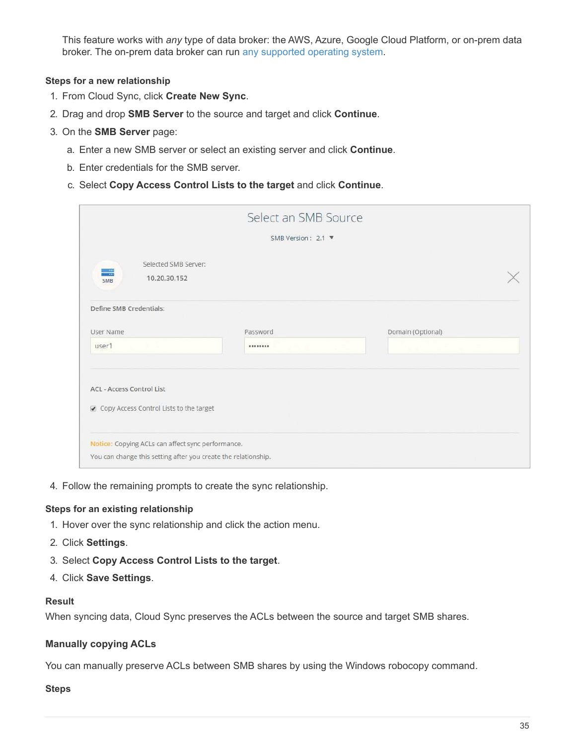This feature works with *any* type of data broker: the AWS, Azure, Google Cloud Platform, or on-prem data broker. The on-prem data broker can run [any supported operating system](#page-27-0).

# **Steps for a new relationship**

- 1. From Cloud Sync, click **Create New Sync**.
- 2. Drag and drop **SMB Server** to the source and target and click **Continue**.
- 3. On the **SMB Server** page:
	- a. Enter a new SMB server or select an existing server and click **Continue**.
	- b. Enter credentials for the SMB server.
	- c. Select **Copy Access Control Lists to the target** and click **Continue**.

|                                                                             |                                                                | Select an SMB Source |                   |  |
|-----------------------------------------------------------------------------|----------------------------------------------------------------|----------------------|-------------------|--|
|                                                                             |                                                                | SMB Version : 2.1 ▼  |                   |  |
| Selected SMB Server:<br>$\frac{1}{2}$<br>10.20.30.152<br>SMB                |                                                                |                      |                   |  |
| Define SMB Credentials:                                                     |                                                                |                      |                   |  |
| User Name                                                                   | Password                                                       |                      | Domain (Optional) |  |
| user1                                                                       |                                                                |                      |                   |  |
| <b>ACL - Access Control List</b><br>Copy Access Control Lists to the target |                                                                |                      |                   |  |
| Notice: Copying ACLs can affect sync performance.                           | You can change this setting after you create the relationship. |                      |                   |  |

4. Follow the remaining prompts to create the sync relationship.

## **Steps for an existing relationship**

- 1. Hover over the sync relationship and click the action menu.
- 2. Click **Settings**.
- 3. Select **Copy Access Control Lists to the target**.
- 4. Click **Save Settings**.

## **Result**

When syncing data, Cloud Sync preserves the ACLs between the source and target SMB shares.

# <span id="page-36-0"></span>**Manually copying ACLs**

You can manually preserve ACLs between SMB shares by using the Windows robocopy command.

### **Steps**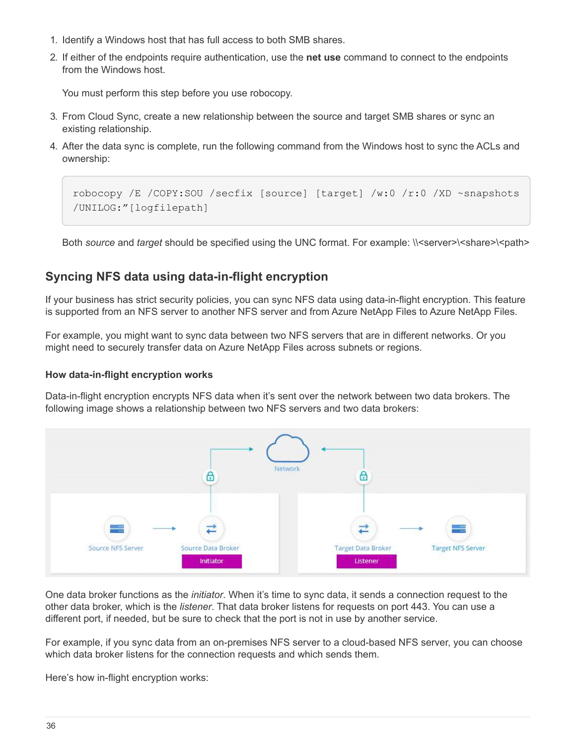- 1. Identify a Windows host that has full access to both SMB shares.
- 2. If either of the endpoints require authentication, use the **net use** command to connect to the endpoints from the Windows host.

You must perform this step before you use robocopy.

- 3. From Cloud Sync, create a new relationship between the source and target SMB shares or sync an existing relationship.
- 4. After the data sync is complete, run the following command from the Windows host to sync the ACLs and ownership:

```
robocopy /E /COPY:SOU /secfix [source] [target] /w:0 /r:0 /XD ~snapshots
/UNILOG:"[logfilepath]
```
Both *source* and *target* should be specified using the UNC format. For example: \\<server>\<share>\<path>

# <span id="page-37-0"></span>**Syncing NFS data using data-in-flight encryption**

If your business has strict security policies, you can sync NFS data using data-in-flight encryption. This feature is supported from an NFS server to another NFS server and from Azure NetApp Files to Azure NetApp Files.

For example, you might want to sync data between two NFS servers that are in different networks. Or you might need to securely transfer data on Azure NetApp Files across subnets or regions.

## **How data-in-flight encryption works**

Data-in-flight encryption encrypts NFS data when it's sent over the network between two data brokers. The following image shows a relationship between two NFS servers and two data brokers:



One data broker functions as the *initiator*. When it's time to sync data, it sends a connection request to the other data broker, which is the *listener*. That data broker listens for requests on port 443. You can use a different port, if needed, but be sure to check that the port is not in use by another service.

For example, if you sync data from an on-premises NFS server to a cloud-based NFS server, you can choose which data broker listens for the connection requests and which sends them.

Here's how in-flight encryption works: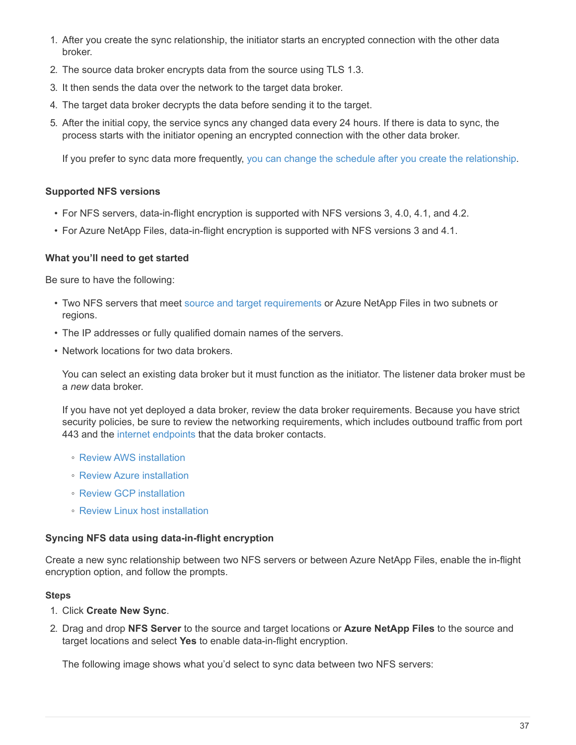- 1. After you create the sync relationship, the initiator starts an encrypted connection with the other data broker.
- 2. The source data broker encrypts data from the source using TLS 1.3.
- 3. It then sends the data over the network to the target data broker.
- 4. The target data broker decrypts the data before sending it to the target.
- 5. After the initial copy, the service syncs any changed data every 24 hours. If there is data to sync, the process starts with the initiator opening an encrypted connection with the other data broker.

If you prefer to sync data more frequently, [you can change the schedule after you create the relationship.](#page-41-0)

# **Supported NFS versions**

- For NFS servers, data-in-flight encryption is supported with NFS versions 3, 4.0, 4.1, and 4.2.
- For Azure NetApp Files, data-in-flight encryption is supported with NFS versions 3 and 4.1.

## **What you'll need to get started**

Be sure to have the following:

- Two NFS servers that meet [source and target requirements](#page-6-0) or Azure NetApp Files in two subnets or regions.
- The IP addresses or fully qualified domain names of the servers.
- Network locations for two data brokers.

You can select an existing data broker but it must function as the initiator. The listener data broker must be a *new* data broker.

If you have not yet deployed a data broker, review the data broker requirements. Because you have strict security policies, be sure to review the networking requirements, which includes outbound traffic from port 443 and the [internet endpoints](#page-17-0) that the data broker contacts.

- [Review AWS installation](#page-20-0)
- [Review Azure installation](#page-23-0)
- [Review GCP installation](#page-25-0)
- [Review Linux host installation](#page-27-0)

## **Syncing NFS data using data-in-flight encryption**

Create a new sync relationship between two NFS servers or between Azure NetApp Files, enable the in-flight encryption option, and follow the prompts.

## **Steps**

- 1. Click **Create New Sync**.
- 2. Drag and drop **NFS Server** to the source and target locations or **Azure NetApp Files** to the source and target locations and select **Yes** to enable data-in-flight encryption.

The following image shows what you'd select to sync data between two NFS servers: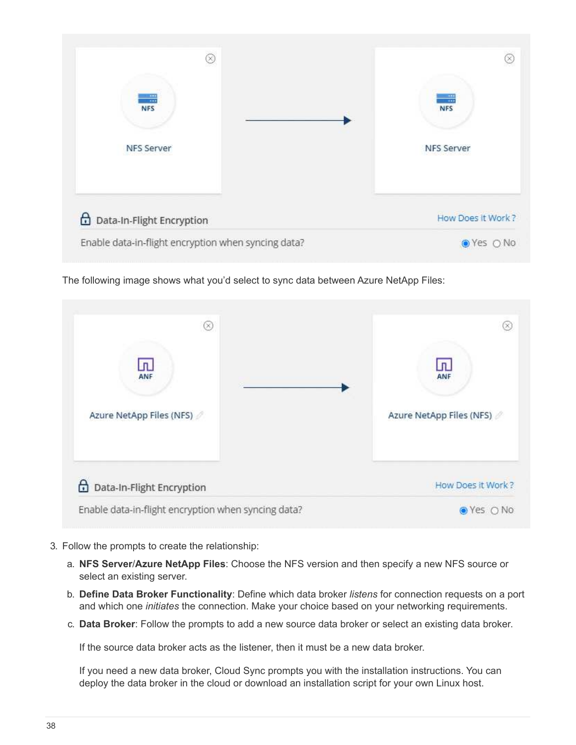

The following image shows what you'd select to sync data between Azure NetApp Files:



- 3. Follow the prompts to create the relationship:
	- a. **NFS Server**/**Azure NetApp Files**: Choose the NFS version and then specify a new NFS source or select an existing server.
	- b. **Define Data Broker Functionality**: Define which data broker *listens* for connection requests on a port and which one *initiates* the connection. Make your choice based on your networking requirements.
	- c. **Data Broker**: Follow the prompts to add a new source data broker or select an existing data broker.

If the source data broker acts as the listener, then it must be a new data broker.

If you need a new data broker, Cloud Sync prompts you with the installation instructions. You can deploy the data broker in the cloud or download an installation script for your own Linux host.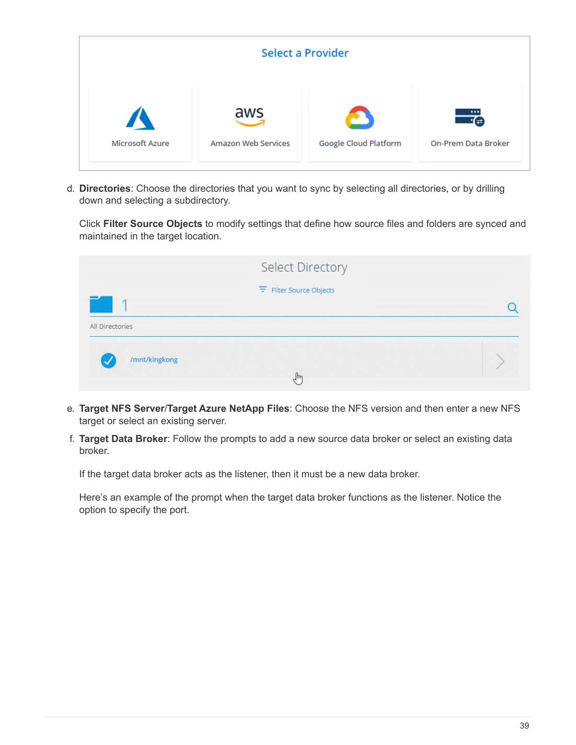| Select a Provider      |                     |                       |                     |  |  |  |  |
|------------------------|---------------------|-----------------------|---------------------|--|--|--|--|
| $\boldsymbol{\Lambda}$ | aws                 | Google Cloud Platform | ≖                   |  |  |  |  |
| Microsoft Azure        | Amazon Web Services |                       | On-Prem Data Broker |  |  |  |  |

d. **Directories**: Choose the directories that you want to sync by selecting all directories, or by drilling down and selecting a subdirectory.

Click **Filter Source Objects** to modify settings that define how source files and folders are synced and maintained in the target location.

|                 | <b>Select Directory</b>        |  |
|-----------------|--------------------------------|--|
|                 | $\equiv$ Filter Source Objects |  |
| All Directories |                                |  |
| /mnt/kingkong   |                                |  |
|                 | $\mathbb{F}_{p}$               |  |

- e. **Target NFS Server**/**Target Azure NetApp Files**: Choose the NFS version and then enter a new NFS target or select an existing server.
- f. **Target Data Broker**: Follow the prompts to add a new source data broker or select an existing data broker.

If the target data broker acts as the listener, then it must be a new data broker.

Here's an example of the prompt when the target data broker functions as the listener. Notice the option to specify the port.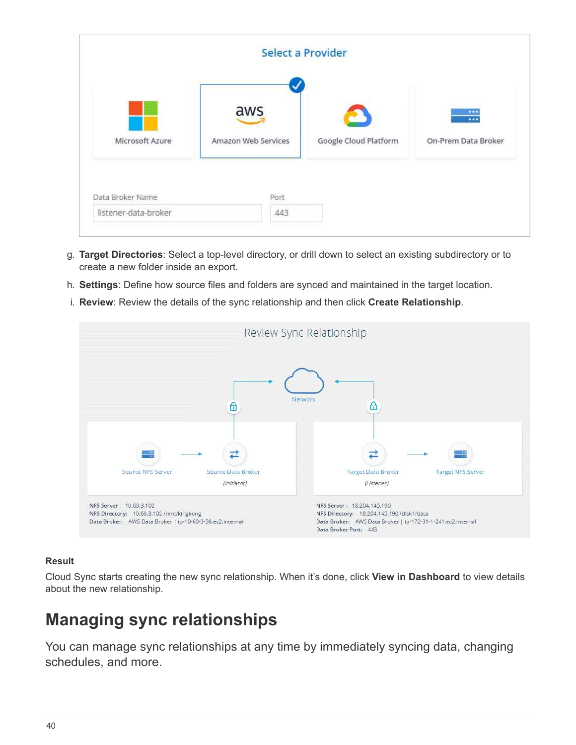|                      |                            | Select a Provider     |                                                             |
|----------------------|----------------------------|-----------------------|-------------------------------------------------------------|
| Microsoft Azure      | aws<br>Amazon Web Services | Google Cloud Platform | $\cdots$<br>$\overline{\phantom{a}}$<br>On-Prem Data Broker |
| Data Broker Name     | Port                       |                       |                                                             |
| listener-data-broker | 443                        |                       |                                                             |

- g. **Target Directories**: Select a top-level directory, or drill down to select an existing subdirectory or to create a new folder inside an export.
- h. **Settings**: Define how source files and folders are synced and maintained in the target location.
- i. **Review**: Review the details of the sync relationship and then click **Create Relationship**.



# **Result**

Cloud Sync starts creating the new sync relationship. When it's done, click **View in Dashboard** to view details about the new relationship.

# <span id="page-41-0"></span>**Managing sync relationships**

You can manage sync relationships at any time by immediately syncing data, changing schedules, and more.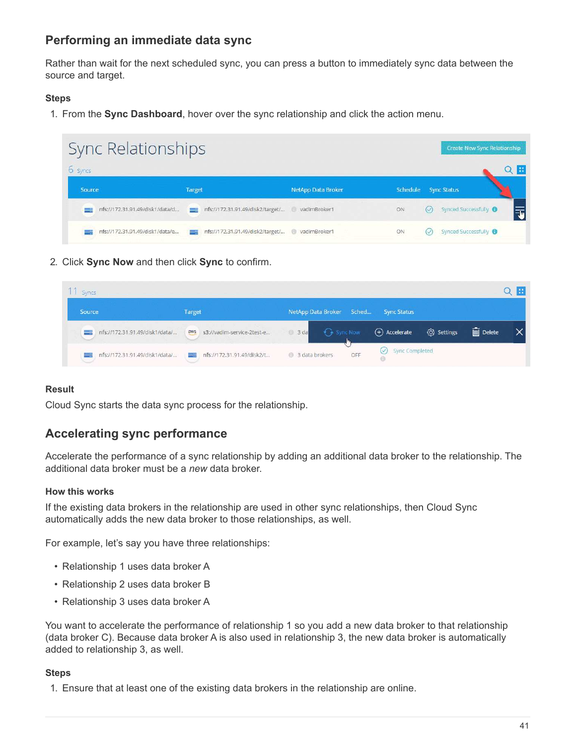# **Performing an immediate data sync**

Rather than wait for the next scheduled sync, you can press a button to immediately sync data between the source and target.

# **Steps**

1. From the **Sync Dashboard**, hover over the sync relationship and click the action menu.

| Sync Relationships              |                                       |                                                 |    | Create New Sync Relationship    |  |
|---------------------------------|---------------------------------------|-------------------------------------------------|----|---------------------------------|--|
| 6 syncs                         |                                       |                                                 |    |                                 |  |
| Source                          | Target                                | <b>NetApp Data Broker</b>                       |    | Schedule Sync Status            |  |
| nfs://172.31.91.49/disk1/data/d | nfs://172.31.91.49/disk2/target/<br>≕ | vadimBroker1                                    | ON | Synced Successfully<br>$(\vee)$ |  |
| nfs://172.31.91.49/disk1/data/e | $-144$                                | nfs://172.31.91.49/disk2/target/ @ vadimBroker1 | ON | Synced Successfully             |  |

2. Click **Sync Now** and then click **Sync** to confirm.

| Synes.                                         |                                                    |                           |                      |            |                         |  |
|------------------------------------------------|----------------------------------------------------|---------------------------|----------------------|------------|-------------------------|--|
| Source                                         | <b>Target</b>                                      | NetApp Data Broker Sched  | <b>Sync Status</b>   |            |                         |  |
| nfs://172.31.91.49/disk1/data/<br><b>START</b> | s3://vadim-service-2test-e<br>aws                  | <b>G</b> Sync Now<br>3 da | $(+)$ Accelerate     | ි Settings | $\overline{III}$ Delete |  |
| nfs://172.31.91.49/disk1/data/                 | nfs://172.31.91.49/disk2/t<br>$\sim$ $\frac{1}{2}$ | OFF<br>3 data brokers     | Sync Completed<br>69 |            |                         |  |

# **Result**

Cloud Sync starts the data sync process for the relationship.

# **Accelerating sync performance**

Accelerate the performance of a sync relationship by adding an additional data broker to the relationship. The additional data broker must be a *new* data broker.

# **How this works**

If the existing data brokers in the relationship are used in other sync relationships, then Cloud Sync automatically adds the new data broker to those relationships, as well.

For example, let's say you have three relationships:

- Relationship 1 uses data broker A
- Relationship 2 uses data broker B
- Relationship 3 uses data broker A

You want to accelerate the performance of relationship 1 so you add a new data broker to that relationship (data broker C). Because data broker A is also used in relationship 3, the new data broker is automatically added to relationship 3, as well.

## **Steps**

1. Ensure that at least one of the existing data brokers in the relationship are online.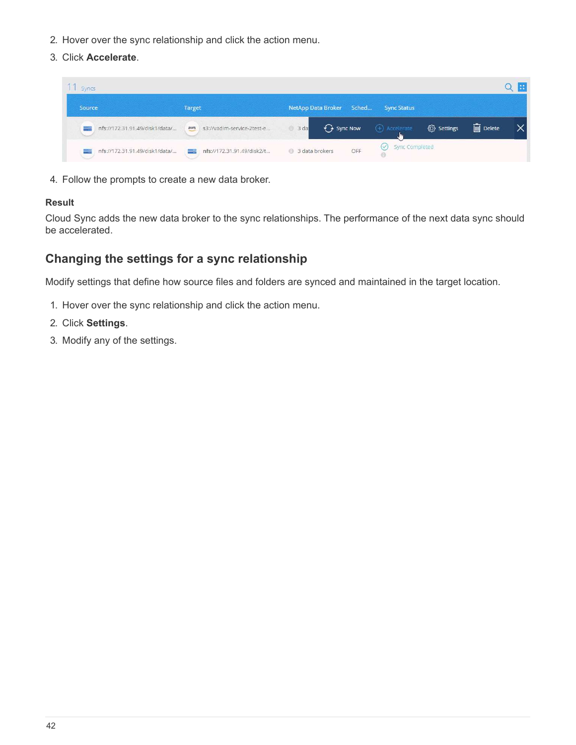- 2. Hover over the sync relationship and click the action menu.
- 3. Click **Accelerate**.

| Synes                          |                                    |                                    |                          |            |                         | m |
|--------------------------------|------------------------------------|------------------------------------|--------------------------|------------|-------------------------|---|
| Source                         | <b>Target</b>                      | Sched<br><b>NetApp Data Broker</b> | <b>Sync Status</b>       |            |                         |   |
| nfs://172.31.91.49/disk1/data/ | s3://vadim-service-2test-e<br>aws  | $\bigodot$ Sync Now<br>3 da        | $(+)$ Accelerate         | @ Settings | $\overline{III}$ Delete |   |
| nfs://172.31.91.49/disk1/data/ | nfs://172.31.91.49/disk2/t<br>$ -$ | OFF<br>3 data brokers              | Sync Completed<br>$\sim$ |            |                         |   |

4. Follow the prompts to create a new data broker.

# **Result**

Cloud Sync adds the new data broker to the sync relationships. The performance of the next data sync should be accelerated.

# **Changing the settings for a sync relationship**

Modify settings that define how source files and folders are synced and maintained in the target location.

- 1. Hover over the sync relationship and click the action menu.
- 2. Click **Settings**.
- 3. Modify any of the settings.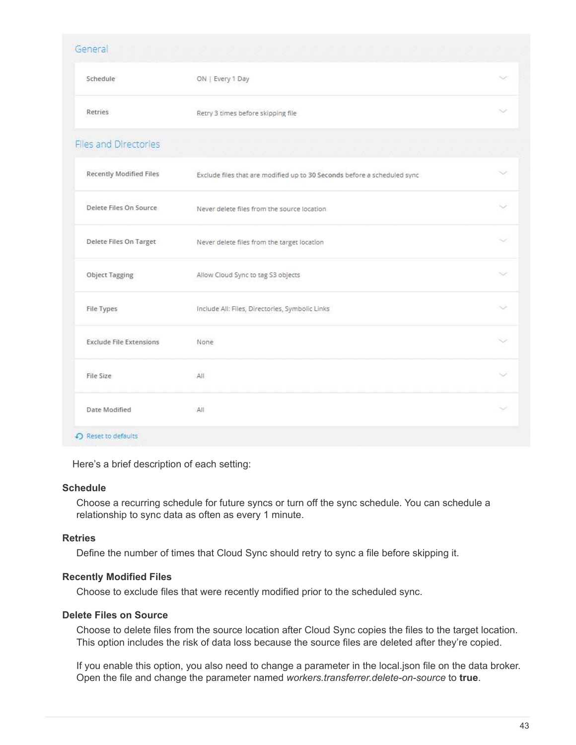| Schedule                       | ON   Every 1 Day                                                         | w      |
|--------------------------------|--------------------------------------------------------------------------|--------|
| Retries                        | Retry 3 times before skipping file                                       | -55    |
| <b>Files and Directories</b>   |                                                                          |        |
| <b>Recently Modified Files</b> | Exclude files that are modified up to 30 Seconds before a scheduled sync |        |
| Delete Files On Source         | Never delete files from the source location                              |        |
| Delete Files On Target         | Never delete files from the target location                              | اربا   |
| <b>Object Tagging</b>          | Allow Cloud Sync to tag S3 objects                                       |        |
| File Types                     | Include All: Files, Directories, Symbolic Links                          |        |
| <b>Exclude File Extensions</b> | None                                                                     |        |
| File Size                      | All                                                                      | w      |
| Date Modified                  | All                                                                      | $\sim$ |

Here's a brief description of each setting:

## **Schedule**

Choose a recurring schedule for future syncs or turn off the sync schedule. You can schedule a relationship to sync data as often as every 1 minute.

## **Retries**

Define the number of times that Cloud Sync should retry to sync a file before skipping it.

## **Recently Modified Files**

Choose to exclude files that were recently modified prior to the scheduled sync.

# **Delete Files on Source**

Choose to delete files from the source location after Cloud Sync copies the files to the target location. This option includes the risk of data loss because the source files are deleted after they're copied.

If you enable this option, you also need to change a parameter in the local.json file on the data broker. Open the file and change the parameter named *workers.transferrer.delete-on-source* to **true**.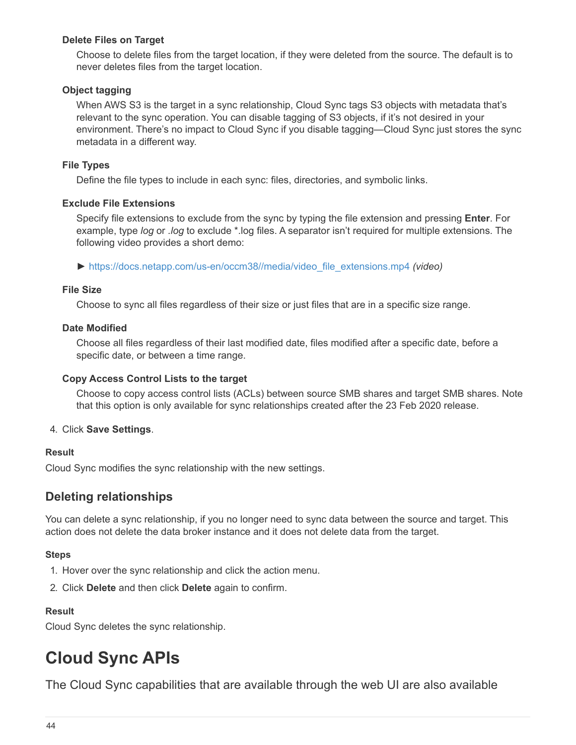# **Delete Files on Target**

Choose to delete files from the target location, if they were deleted from the source. The default is to never deletes files from the target location.

# **Object tagging**

When AWS S3 is the target in a sync relationship, Cloud Sync tags S3 objects with metadata that's relevant to the sync operation. You can disable tagging of S3 objects, if it's not desired in your environment. There's no impact to Cloud Sync if you disable tagging—Cloud Sync just stores the sync metadata in a different way.

# **File Types**

Define the file types to include in each sync: files, directories, and symbolic links.

# **Exclude File Extensions**

Specify file extensions to exclude from the sync by typing the file extension and pressing **Enter**. For example, type *log* or *.log* to exclude \*.log files. A separator isn't required for multiple extensions. The following video provides a short demo:

► [https://docs.netapp.com/us-en/occm38//media/video\\_file\\_extensions.mp4](https://docs.netapp.com/us-en/occm38//media/video_file_extensions.mp4) *(video)*

# **File Size**

Choose to sync all files regardless of their size or just files that are in a specific size range.

# **Date Modified**

Choose all files regardless of their last modified date, files modified after a specific date, before a specific date, or between a time range.

## **Copy Access Control Lists to the target**

Choose to copy access control lists (ACLs) between source SMB shares and target SMB shares. Note that this option is only available for sync relationships created after the 23 Feb 2020 release.

# 4. Click **Save Settings**.

## **Result**

Cloud Sync modifies the sync relationship with the new settings.

# **Deleting relationships**

You can delete a sync relationship, if you no longer need to sync data between the source and target. This action does not delete the data broker instance and it does not delete data from the target.

## **Steps**

- 1. Hover over the sync relationship and click the action menu.
- 2. Click **Delete** and then click **Delete** again to confirm.

# **Result**

Cloud Sync deletes the sync relationship.

# <span id="page-45-0"></span>**Cloud Sync APIs**

The Cloud Sync capabilities that are available through the web UI are also available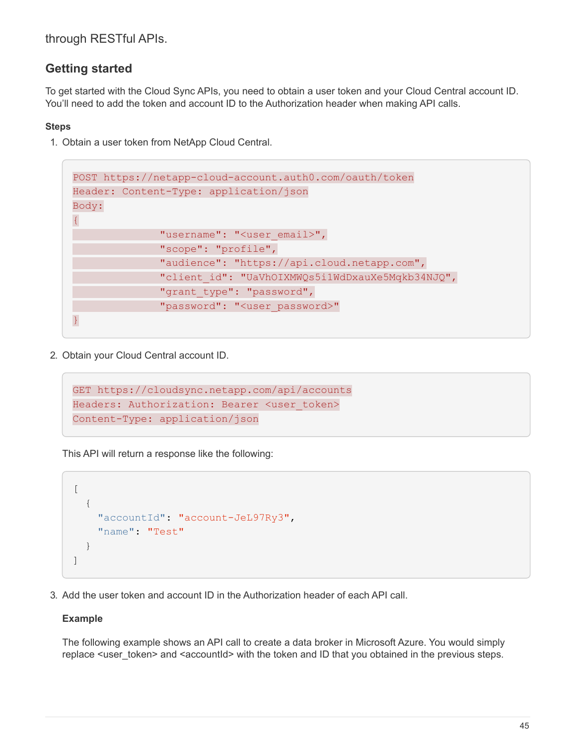through RESTful APIs.

# **Getting started**

To get started with the Cloud Sync APIs, you need to obtain a user token and your Cloud Central account ID. You'll need to add the token and account ID to the Authorization header when making API calls.

# **Steps**

1. Obtain a user token from NetApp Cloud Central.

```
POST https://netapp-cloud-account.auth0.com/oauth/token
Header: Content-Type: application/json
Body:
{
              "username": "<user email>",
                "scope": "profile",
                "audience": "https://api.cloud.netapp.com",
                "client_id": "UaVhOIXMWQs5i1WdDxauXe5Mqkb34NJQ",
              "grant type": "password",
              "password": "<user password>"
}
```
2. Obtain your Cloud Central account ID.

```
GET https://cloudsync.netapp.com/api/accounts
Headers: Authorization: Bearer <user token>
Content-Type: application/json
```
This API will return a response like the following:

```
\lceil  {
       "accountId": "account-JeL97Ry3",
       "name": "Test"
    }
]
```
3. Add the user token and account ID in the Authorization header of each API call.

# **Example**

The following example shows an API call to create a data broker in Microsoft Azure. You would simply replace <user\_token> and <accountId> with the token and ID that you obtained in the previous steps.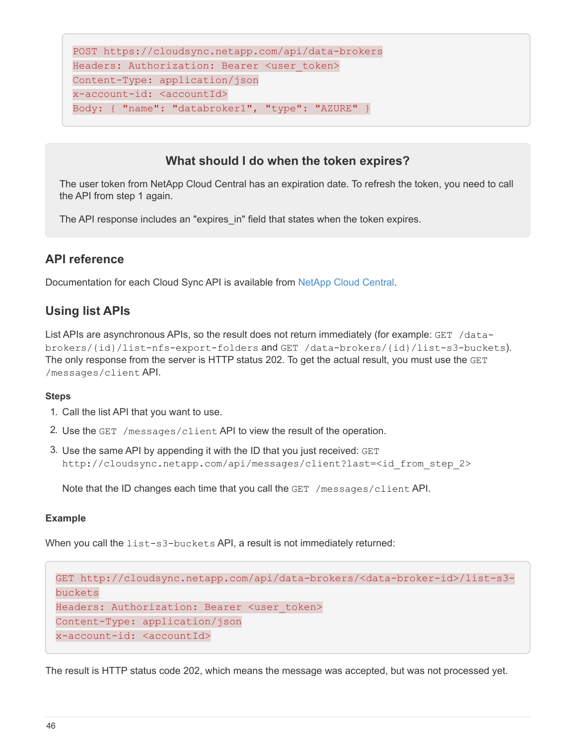```
POST https://cloudsync.netapp.com/api/data-brokers
Headers: Authorization: Bearer <user token>
Content-Type: application/json
x-account-id: <accountId>
Body: { "name": "databroker1", "type": "AZURE" }
```
# **What should I do when the token expires?**

The user token from NetApp Cloud Central has an expiration date. To refresh the token, you need to call the API from step 1 again.

The API response includes an "expires in" field that states when the token expires.

# **API reference**

Documentation for each Cloud Sync API is available from [NetApp Cloud Central](https://cloudsync.netapp.com/docs/).

# **Using list APIs**

List APIs are asynchronous APIs, so the result does not return immediately (for example: GET /databrokers/{id}/list-nfs-export-folders and GET /data-brokers/{id}/list-s3-buckets). The only response from the server is HTTP status 202. To get the actual result, you must use the GET /messages/client API.

# **Steps**

- 1. Call the list API that you want to use.
- 2. Use the GET /messages/client API to view the result of the operation.
- 3. Use the same API by appending it with the ID that you just received: GET http://cloudsync.netapp.com/api/messages/client?last=<id\_from\_step\_2>

Note that the ID changes each time that you call the GET /messages/client API.

## **Example**

When you call the list-s3-buckets API, a result is not immediately returned:

```
GET http://cloudsync.netapp.com/api/data-brokers/<data-broker-id>/list-s3-
buckets
Headers: Authorization: Bearer <user token>
Content-Type: application/json
x-account-id: <accountId>
```
The result is HTTP status code 202, which means the message was accepted, but was not processed yet.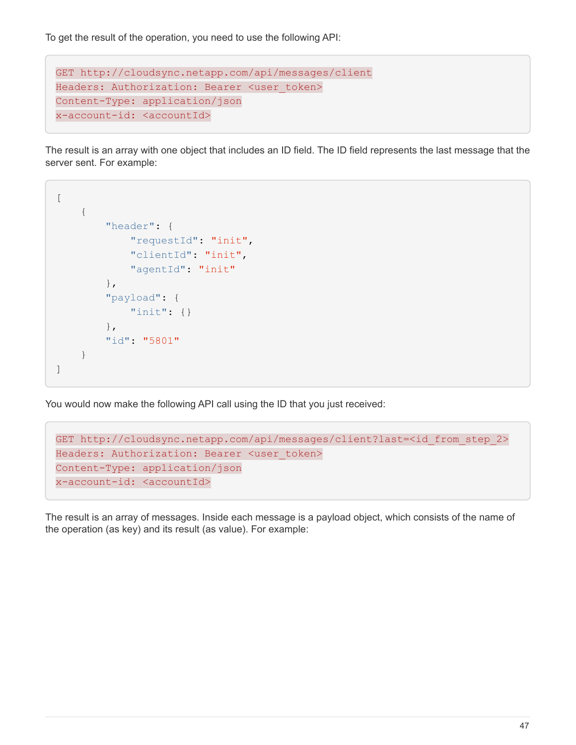To get the result of the operation, you need to use the following API:

```
GET http://cloudsync.netapp.com/api/messages/client
Headers: Authorization: Bearer <user token>
Content-Type: application/json
x-account-id: <accountId>
```
The result is an array with one object that includes an ID field. The ID field represents the last message that the server sent. For example:

```
\overline{[}  {
             "header": {
                  "requestId": "init",
                  "clientId": "init",
                  "agentId": "init"
             },
             "payload": {
                  "init": {}
             },
             "id": "5801"
       }
]
```
You would now make the following API call using the ID that you just received:

```
GET http://cloudsync.netapp.com/api/messages/client?last=<id_from_step_2>
Headers: Authorization: Bearer <user token>
Content-Type: application/json
x-account-id: <accountId>
```
The result is an array of messages. Inside each message is a payload object, which consists of the name of the operation (as key) and its result (as value). For example: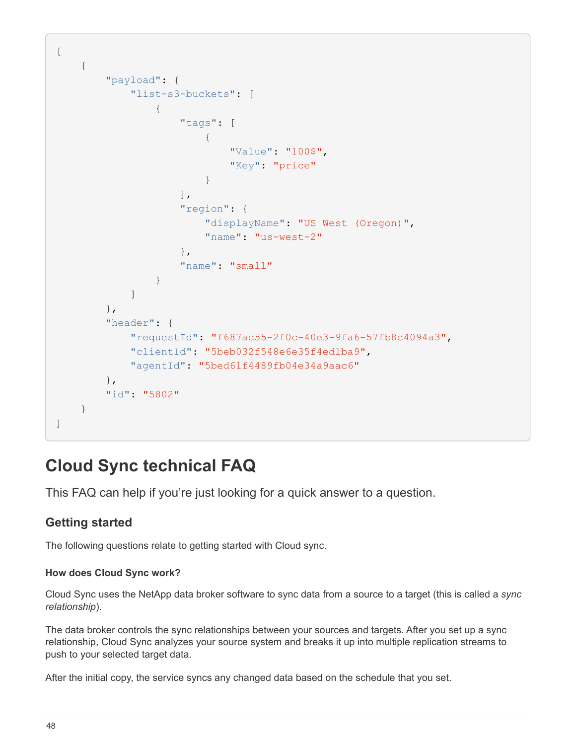```
[
       {
             "payload": {
                   "list-s3-buckets": [
\{  "tags": [
{
                                          "Value": "100$",
                                        "Key": "price"
  }
\mathbb{I}, \mathbb{I}, \mathbb{I}, \mathbb{I}, \mathbb{I}, \mathbb{I}, \mathbb{I}, \mathbb{I}, \mathbb{I}, \mathbb{I}, \mathbb{I}, \mathbb{I}, \mathbb{I}, \mathbb{I}, \mathbb{I}, \mathbb{I}, \mathbb{I}, \mathbb{I}, \mathbb{I}, \mathbb{I}, \mathbb{I}, \mathbb{I},   "region": {
                                  "displayName": "US West (Oregon)",
                                  "name": "us-west-2"
\{x_i\}_{i=1}^n  "name": "small"
  }
  ]
             },
             "header": {
                   "requestId": "f687ac55-2f0c-40e3-9fa6-57fb8c4094a3",
                   "clientId": "5beb032f548e6e35f4ed1ba9",
                   "agentId": "5bed61f4489fb04e34a9aac6"
             },
             "id": "5802"
       }
]
```
# <span id="page-49-0"></span>**Cloud Sync technical FAQ**

This FAQ can help if you're just looking for a quick answer to a question.

# **Getting started**

The following questions relate to getting started with Cloud sync.

# **How does Cloud Sync work?**

Cloud Sync uses the NetApp data broker software to sync data from a source to a target (this is called a *sync relationship*).

The data broker controls the sync relationships between your sources and targets. After you set up a sync relationship, Cloud Sync analyzes your source system and breaks it up into multiple replication streams to push to your selected target data.

After the initial copy, the service syncs any changed data based on the schedule that you set.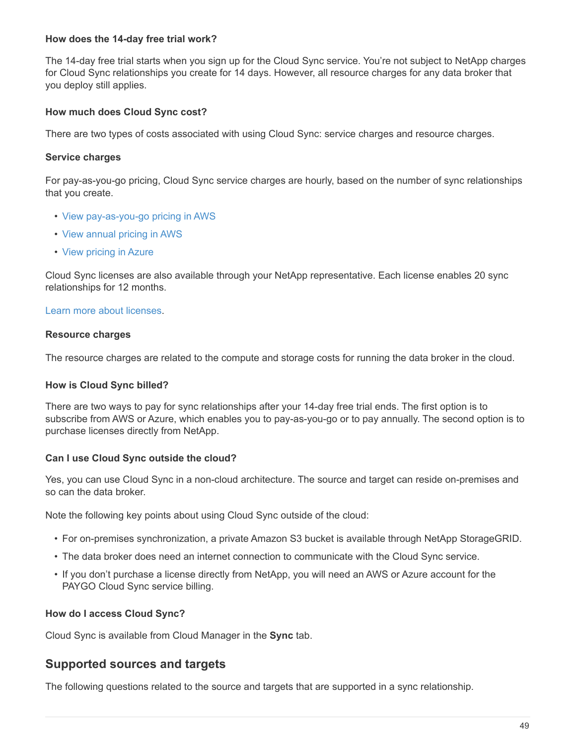## **How does the 14-day free trial work?**

The 14-day free trial starts when you sign up for the Cloud Sync service. You're not subject to NetApp charges for Cloud Sync relationships you create for 14 days. However, all resource charges for any data broker that you deploy still applies.

# **How much does Cloud Sync cost?**

There are two types of costs associated with using Cloud Sync: service charges and resource charges.

## **Service charges**

For pay-as-you-go pricing, Cloud Sync service charges are hourly, based on the number of sync relationships that you create.

- [View pay-as-you-go pricing in AWS](https://aws.amazon.com/marketplace/pp/B01LZV5DUJ)
- [View annual pricing in AWS](https://aws.amazon.com/marketplace/pp/B06XX5V3M2)
- [View pricing in Azure](https://azuremarketplace.microsoft.com/en-us/marketplace/apps/netapp.cloud-sync-service?tab=PlansAndPrice)

Cloud Sync licenses are also available through your NetApp representative. Each license enables 20 sync relationships for 12 months.

## [Learn more about licenses.](#page-2-1)

### **Resource charges**

The resource charges are related to the compute and storage costs for running the data broker in the cloud.

## **How is Cloud Sync billed?**

There are two ways to pay for sync relationships after your 14-day free trial ends. The first option is to subscribe from AWS or Azure, which enables you to pay-as-you-go or to pay annually. The second option is to purchase licenses directly from NetApp.

## **Can I use Cloud Sync outside the cloud?**

Yes, you can use Cloud Sync in a non-cloud architecture. The source and target can reside on-premises and so can the data broker.

Note the following key points about using Cloud Sync outside of the cloud:

- For on-premises synchronization, a private Amazon S3 bucket is available through NetApp StorageGRID.
- The data broker does need an internet connection to communicate with the Cloud Sync service.
- If you don't purchase a license directly from NetApp, you will need an AWS or Azure account for the PAYGO Cloud Sync service billing.

## **How do I access Cloud Sync?**

Cloud Sync is available from Cloud Manager in the **Sync** tab.

# **Supported sources and targets**

The following questions related to the source and targets that are supported in a sync relationship.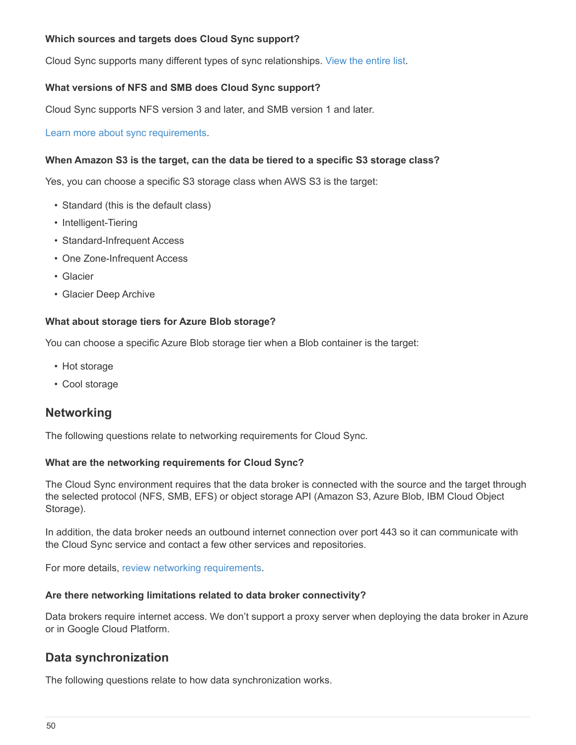# **Which sources and targets does Cloud Sync support?**

Cloud Sync supports many different types of sync relationships. [View the entire list](#page-6-0).

# **What versions of NFS and SMB does Cloud Sync support?**

Cloud Sync supports NFS version 3 and later, and SMB version 1 and later.

[Learn more about sync requirements.](#page-6-0)

## **When Amazon S3 is the target, can the data be tiered to a specific S3 storage class?**

Yes, you can choose a specific S3 storage class when AWS S3 is the target:

- Standard (this is the default class)
- Intelligent-Tiering
- Standard-Infrequent Access
- One Zone-Infrequent Access
- Glacier
- Glacier Deep Archive

# **What about storage tiers for Azure Blob storage?**

You can choose a specific Azure Blob storage tier when a Blob container is the target:

- Hot storage
- Cool storage

# **Networking**

The following questions relate to networking requirements for Cloud Sync.

## **What are the networking requirements for Cloud Sync?**

The Cloud Sync environment requires that the data broker is connected with the source and the target through the selected protocol (NFS, SMB, EFS) or object storage API (Amazon S3, Azure Blob, IBM Cloud Object Storage).

In addition, the data broker needs an outbound internet connection over port 443 so it can communicate with the Cloud Sync service and contact a few other services and repositories.

For more details, [review networking requirements](#page-17-0).

## **Are there networking limitations related to data broker connectivity?**

Data brokers require internet access. We don't support a proxy server when deploying the data broker in Azure or in Google Cloud Platform.

# **Data synchronization**

The following questions relate to how data synchronization works.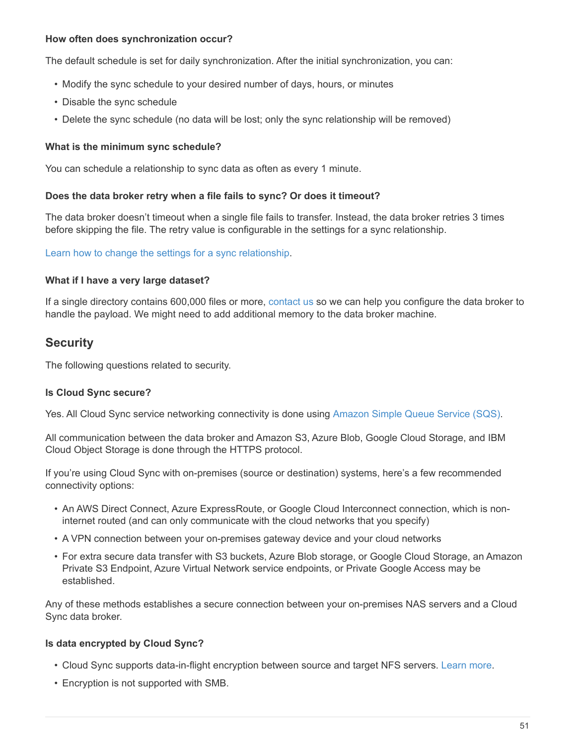# **How often does synchronization occur?**

The default schedule is set for daily synchronization. After the initial synchronization, you can:

- Modify the sync schedule to your desired number of days, hours, or minutes
- Disable the sync schedule
- Delete the sync schedule (no data will be lost; only the sync relationship will be removed)

### **What is the minimum sync schedule?**

You can schedule a relationship to sync data as often as every 1 minute.

### **Does the data broker retry when a file fails to sync? Or does it timeout?**

The data broker doesn't timeout when a single file fails to transfer. Instead, the data broker retries 3 times before skipping the file. The retry value is configurable in the settings for a sync relationship.

[Learn how to change the settings for a sync relationship.](#page-41-0)

### **What if I have a very large dataset?**

If a single directory contains 600,000 files or more, [contact us](mailto:ng-cloudsync-support@netapp.com) so we can help you configure the data broker to handle the payload. We might need to add additional memory to the data broker machine.

# **Security**

The following questions related to security.

### **Is Cloud Sync secure?**

Yes. All Cloud Sync service networking connectivity is done using [Amazon Simple Queue Service \(SQS\).](https://aws.amazon.com/sqs/)

All communication between the data broker and Amazon S3, Azure Blob, Google Cloud Storage, and IBM Cloud Object Storage is done through the HTTPS protocol.

If you're using Cloud Sync with on-premises (source or destination) systems, here's a few recommended connectivity options:

- An AWS Direct Connect, Azure ExpressRoute, or Google Cloud Interconnect connection, which is noninternet routed (and can only communicate with the cloud networks that you specify)
- A VPN connection between your on-premises gateway device and your cloud networks
- For extra secure data transfer with S3 buckets, Azure Blob storage, or Google Cloud Storage, an Amazon Private S3 Endpoint, Azure Virtual Network service endpoints, or Private Google Access may be established.

Any of these methods establishes a secure connection between your on-premises NAS servers and a Cloud Sync data broker.

### **Is data encrypted by Cloud Sync?**

- Cloud Sync supports data-in-flight encryption between source and target NFS servers. [Learn more.](#page-37-0)
- Encryption is not supported with SMB.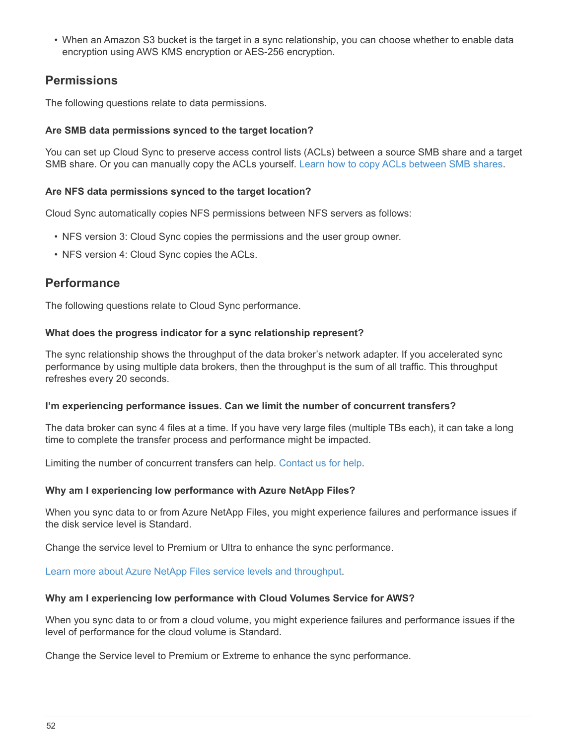• When an Amazon S3 bucket is the target in a sync relationship, you can choose whether to enable data encryption using AWS KMS encryption or AES-256 encryption.

# **Permissions**

The following questions relate to data permissions.

# **Are SMB data permissions synced to the target location?**

You can set up Cloud Sync to preserve access control lists (ACLs) between a source SMB share and a target SMB share. Or you can manually copy the ACLs yourself. [Learn how to copy ACLs between SMB shares.](#page-35-2)

# **Are NFS data permissions synced to the target location?**

Cloud Sync automatically copies NFS permissions between NFS servers as follows:

- NFS version 3: Cloud Sync copies the permissions and the user group owner.
- NFS version 4: Cloud Sync copies the ACLs.

# **Performance**

The following questions relate to Cloud Sync performance.

# **What does the progress indicator for a sync relationship represent?**

The sync relationship shows the throughput of the data broker's network adapter. If you accelerated sync performance by using multiple data brokers, then the throughput is the sum of all traffic. This throughput refreshes every 20 seconds.

## **I'm experiencing performance issues. Can we limit the number of concurrent transfers?**

The data broker can sync 4 files at a time. If you have very large files (multiple TBs each), it can take a long time to complete the transfer process and performance might be impacted.

Limiting the number of concurrent transfers can help. [Contact us for help.](mailto:ng-cloudsync-support@netapp.com)

## **Why am I experiencing low performance with Azure NetApp Files?**

When you sync data to or from Azure NetApp Files, you might experience failures and performance issues if the disk service level is Standard.

Change the service level to Premium or Ultra to enhance the sync performance.

[Learn more about Azure NetApp Files service levels and throughput](https://docs.microsoft.com/en-us/azure/azure-netapp-files/azure-netapp-files-service-levels#throughput-limits).

## **Why am I experiencing low performance with Cloud Volumes Service for AWS?**

When you sync data to or from a cloud volume, you might experience failures and performance issues if the level of performance for the cloud volume is Standard.

Change the Service level to Premium or Extreme to enhance the sync performance.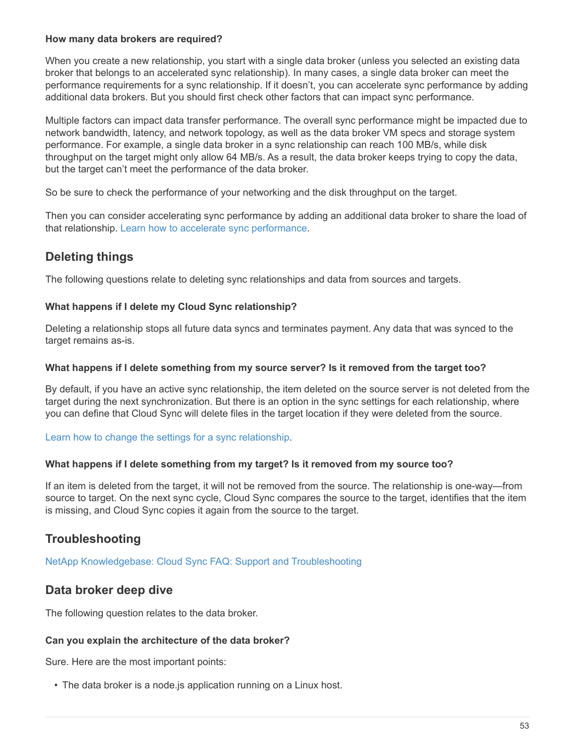# **How many data brokers are required?**

When you create a new relationship, you start with a single data broker (unless you selected an existing data broker that belongs to an accelerated sync relationship). In many cases, a single data broker can meet the performance requirements for a sync relationship. If it doesn't, you can accelerate sync performance by adding additional data brokers. But you should first check other factors that can impact sync performance.

Multiple factors can impact data transfer performance. The overall sync performance might be impacted due to network bandwidth, latency, and network topology, as well as the data broker VM specs and storage system performance. For example, a single data broker in a sync relationship can reach 100 MB/s, while disk throughput on the target might only allow 64 MB/s. As a result, the data broker keeps trying to copy the data, but the target can't meet the performance of the data broker.

So be sure to check the performance of your networking and the disk throughput on the target.

Then you can consider accelerating sync performance by adding an additional data broker to share the load of that relationship. [Learn how to accelerate sync performance](#page-41-0).

# **Deleting things**

The following questions relate to deleting sync relationships and data from sources and targets.

# **What happens if I delete my Cloud Sync relationship?**

Deleting a relationship stops all future data syncs and terminates payment. Any data that was synced to the target remains as-is.

## **What happens if I delete something from my source server? Is it removed from the target too?**

By default, if you have an active sync relationship, the item deleted on the source server is not deleted from the target during the next synchronization. But there is an option in the sync settings for each relationship, where you can define that Cloud Sync will delete files in the target location if they were deleted from the source.

## [Learn how to change the settings for a sync relationship.](#page-41-0)

## **What happens if I delete something from my target? Is it removed from my source too?**

If an item is deleted from the target, it will not be removed from the source. The relationship is one-way—from source to target. On the next sync cycle, Cloud Sync compares the source to the target, identifies that the item is missing, and Cloud Sync copies it again from the source to the target.

# **Troubleshooting**

[NetApp Knowledgebase: Cloud Sync FAQ: Support and Troubleshooting](https://kb.netapp.com/Advice_and_Troubleshooting/Cloud_Services/Cloud_Sync/Cloud_Sync_FAQ:_Support_and_Troubleshooting)

# **Data broker deep dive**

The following question relates to the data broker.

# **Can you explain the architecture of the data broker?**

Sure. Here are the most important points:

• The data broker is a node.js application running on a Linux host.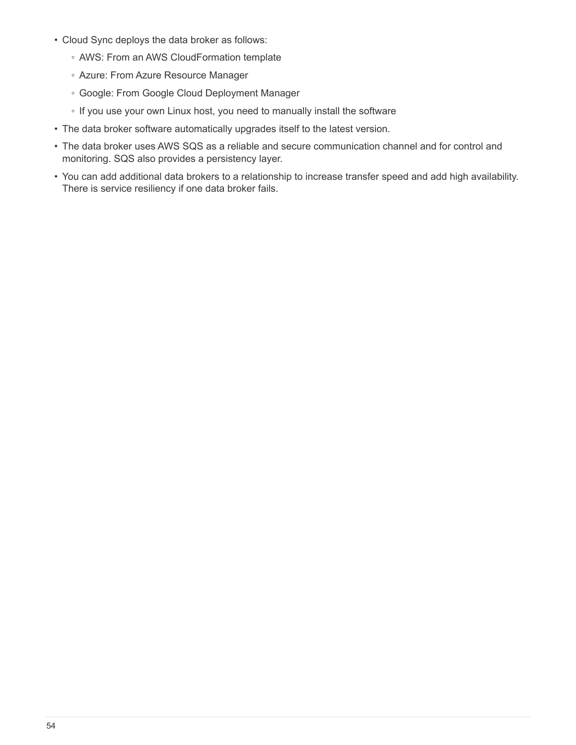- Cloud Sync deploys the data broker as follows:
	- AWS: From an AWS CloudFormation template
	- Azure: From Azure Resource Manager
	- Google: From Google Cloud Deployment Manager
	- If you use your own Linux host, you need to manually install the software
- The data broker software automatically upgrades itself to the latest version.
- The data broker uses AWS SQS as a reliable and secure communication channel and for control and monitoring. SQS also provides a persistency layer.
- You can add additional data brokers to a relationship to increase transfer speed and add high availability. There is service resiliency if one data broker fails.